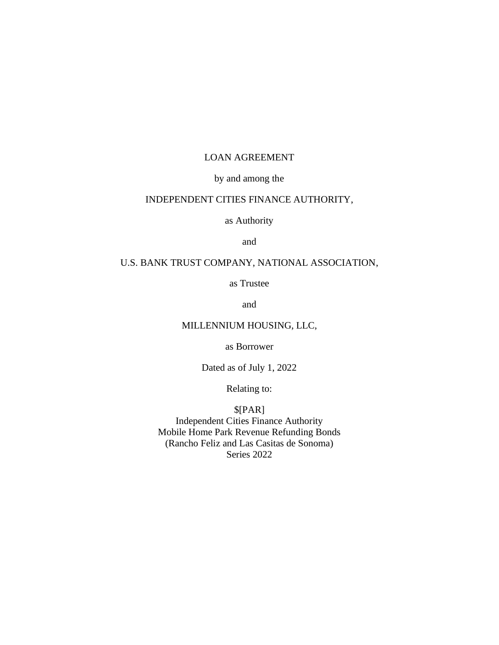#### LOAN AGREEMENT

### by and among the

# INDEPENDENT CITIES FINANCE AUTHORITY,

as Authority

and

# U.S. BANK TRUST COMPANY, NATIONAL ASSOCIATION,

as Trustee

and

### MILLENNIUM HOUSING, LLC,

as Borrower

Dated as of July 1, 2022

Relating to:

\$[PAR] Independent Cities Finance Authority Mobile Home Park Revenue Refunding Bonds (Rancho Feliz and Las Casitas de Sonoma) Series 2022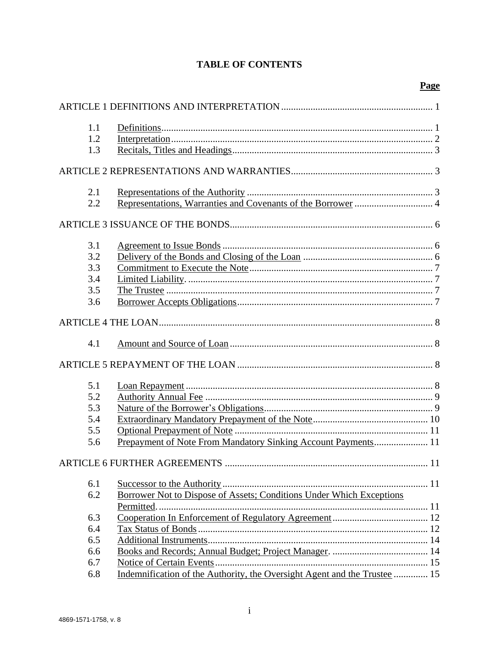| <b>TABLE OF CONTENTS</b> |
|--------------------------|
|--------------------------|

# Page

| 1.1 |                                                                           |
|-----|---------------------------------------------------------------------------|
| 1.2 |                                                                           |
| 1.3 |                                                                           |
|     |                                                                           |
| 2.1 |                                                                           |
| 2.2 |                                                                           |
|     |                                                                           |
|     |                                                                           |
| 3.1 |                                                                           |
| 3.2 |                                                                           |
| 3.3 |                                                                           |
| 3.4 |                                                                           |
| 3.5 |                                                                           |
| 3.6 |                                                                           |
|     |                                                                           |
| 4.1 |                                                                           |
|     |                                                                           |
| 5.1 |                                                                           |
| 5.2 |                                                                           |
| 5.3 |                                                                           |
| 5.4 |                                                                           |
| 5.5 |                                                                           |
| 5.6 | Prepayment of Note From Mandatory Sinking Account Payments 11             |
|     | <b>ARTICLE 6 FURTHER AGREEMENTS</b><br>-11                                |
| 6.1 |                                                                           |
| 6.2 | Borrower Not to Dispose of Assets; Conditions Under Which Exceptions      |
|     |                                                                           |
| 6.3 |                                                                           |
| 6.4 |                                                                           |
| 6.5 |                                                                           |
| 6.6 |                                                                           |
| 6.7 |                                                                           |
| 6.8 | Indemnification of the Authority, the Oversight Agent and the Trustee  15 |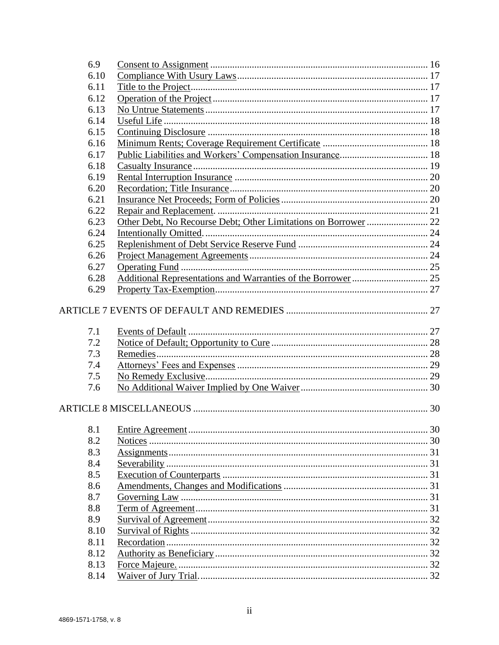| 6.9  |          |  |
|------|----------|--|
| 6.10 |          |  |
| 6.11 |          |  |
| 6.12 |          |  |
| 6.13 |          |  |
| 6.14 |          |  |
| 6.15 |          |  |
| 6.16 |          |  |
| 6.17 |          |  |
| 6.18 |          |  |
| 6.19 |          |  |
| 6.20 |          |  |
| 6.21 |          |  |
| 6.22 |          |  |
| 6.23 |          |  |
| 6.24 |          |  |
| 6.25 |          |  |
| 6.26 |          |  |
| 6.27 |          |  |
| 6.28 |          |  |
| 6.29 |          |  |
|      |          |  |
| 7.1  |          |  |
|      |          |  |
| 7.2  |          |  |
| 7.3  | Remedies |  |
| 7.4  |          |  |
| 7.5  |          |  |
| 7.6  |          |  |
|      |          |  |
| 8.1  |          |  |
| 8.2  |          |  |
| 8.3  |          |  |
| 8.4  |          |  |
| 8.5  |          |  |
| 8.6  |          |  |
| 8.7  |          |  |
| 8.8  |          |  |
| 8.9  |          |  |
| 8.10 |          |  |
| 8.11 |          |  |
| 8.12 |          |  |
| 8.13 |          |  |
| 8.14 |          |  |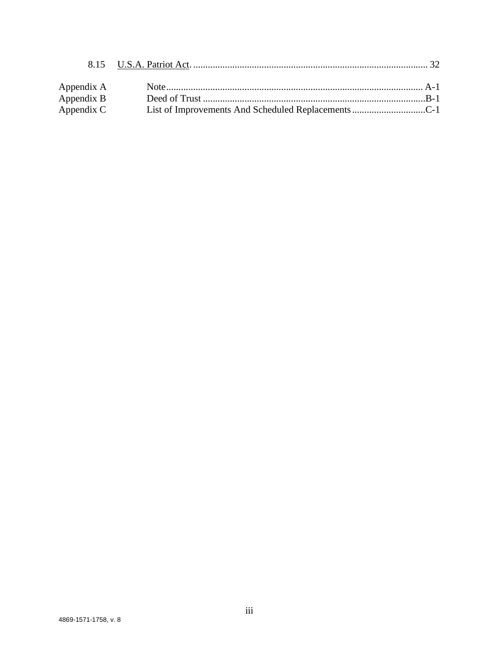| Appendix A |  |
|------------|--|
| Appendix B |  |
| Appendix C |  |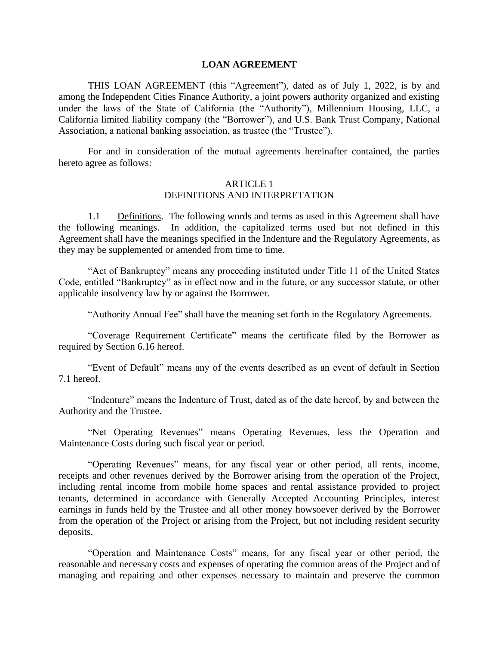#### **LOAN AGREEMENT**

THIS LOAN AGREEMENT (this "Agreement"), dated as of July 1, 2022, is by and among the Independent Cities Finance Authority, a joint powers authority organized and existing under the laws of the State of California (the "Authority"), Millennium Housing, LLC, a California limited liability company (the "Borrower"), and U.S. Bank Trust Company, National Association, a national banking association, as trustee (the "Trustee").

For and in consideration of the mutual agreements hereinafter contained, the parties hereto agree as follows:

#### ARTICLE 1

#### DEFINITIONS AND INTERPRETATION

1.1 Definitions. The following words and terms as used in this Agreement shall have the following meanings. In addition, the capitalized terms used but not defined in this Agreement shall have the meanings specified in the Indenture and the Regulatory Agreements, as they may be supplemented or amended from time to time.

"Act of Bankruptcy" means any proceeding instituted under Title 11 of the United States Code, entitled "Bankruptcy" as in effect now and in the future, or any successor statute, or other applicable insolvency law by or against the Borrower.

"Authority Annual Fee" shall have the meaning set forth in the Regulatory Agreements.

"Coverage Requirement Certificate" means the certificate filed by the Borrower as required by Section 6.16 hereof.

"Event of Default" means any of the events described as an event of default in Section 7.1 hereof.

"Indenture" means the Indenture of Trust, dated as of the date hereof, by and between the Authority and the Trustee.

"Net Operating Revenues" means Operating Revenues, less the Operation and Maintenance Costs during such fiscal year or period.

"Operating Revenues" means, for any fiscal year or other period, all rents, income, receipts and other revenues derived by the Borrower arising from the operation of the Project, including rental income from mobile home spaces and rental assistance provided to project tenants, determined in accordance with Generally Accepted Accounting Principles, interest earnings in funds held by the Trustee and all other money howsoever derived by the Borrower from the operation of the Project or arising from the Project, but not including resident security deposits.

"Operation and Maintenance Costs" means, for any fiscal year or other period, the reasonable and necessary costs and expenses of operating the common areas of the Project and of managing and repairing and other expenses necessary to maintain and preserve the common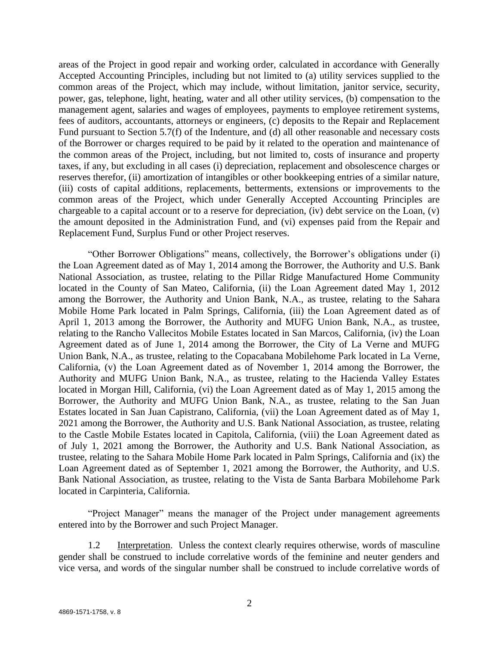areas of the Project in good repair and working order, calculated in accordance with Generally Accepted Accounting Principles, including but not limited to (a) utility services supplied to the common areas of the Project, which may include, without limitation, janitor service, security, power, gas, telephone, light, heating, water and all other utility services, (b) compensation to the management agent, salaries and wages of employees, payments to employee retirement systems, fees of auditors, accountants, attorneys or engineers, (c) deposits to the Repair and Replacement Fund pursuant to Section 5.7(f) of the Indenture, and (d) all other reasonable and necessary costs of the Borrower or charges required to be paid by it related to the operation and maintenance of the common areas of the Project, including, but not limited to, costs of insurance and property taxes, if any, but excluding in all cases (i) depreciation, replacement and obsolescence charges or reserves therefor, (ii) amortization of intangibles or other bookkeeping entries of a similar nature, (iii) costs of capital additions, replacements, betterments, extensions or improvements to the common areas of the Project, which under Generally Accepted Accounting Principles are chargeable to a capital account or to a reserve for depreciation, (iv) debt service on the Loan, (v) the amount deposited in the Administration Fund, and (vi) expenses paid from the Repair and Replacement Fund, Surplus Fund or other Project reserves.

"Other Borrower Obligations" means, collectively, the Borrower's obligations under (i) the Loan Agreement dated as of May 1, 2014 among the Borrower, the Authority and U.S. Bank National Association, as trustee, relating to the Pillar Ridge Manufactured Home Community located in the County of San Mateo, California, (ii) the Loan Agreement dated May 1, 2012 among the Borrower, the Authority and Union Bank, N.A., as trustee, relating to the Sahara Mobile Home Park located in Palm Springs, California, (iii) the Loan Agreement dated as of April 1, 2013 among the Borrower, the Authority and MUFG Union Bank, N.A., as trustee, relating to the Rancho Vallecitos Mobile Estates located in San Marcos, California, (iv) the Loan Agreement dated as of June 1, 2014 among the Borrower, the City of La Verne and MUFG Union Bank, N.A., as trustee, relating to the Copacabana Mobilehome Park located in La Verne, California, (v) the Loan Agreement dated as of November 1, 2014 among the Borrower, the Authority and MUFG Union Bank, N.A., as trustee, relating to the Hacienda Valley Estates located in Morgan Hill, California, (vi) the Loan Agreement dated as of May 1, 2015 among the Borrower, the Authority and MUFG Union Bank, N.A., as trustee, relating to the San Juan Estates located in San Juan Capistrano, California, (vii) the Loan Agreement dated as of May 1, 2021 among the Borrower, the Authority and U.S. Bank National Association, as trustee, relating to the Castle Mobile Estates located in Capitola, California, (viii) the Loan Agreement dated as of July 1, 2021 among the Borrower, the Authority and U.S. Bank National Association, as trustee, relating to the Sahara Mobile Home Park located in Palm Springs, California and (ix) the Loan Agreement dated as of September 1, 2021 among the Borrower, the Authority, and U.S. Bank National Association, as trustee, relating to the Vista de Santa Barbara Mobilehome Park located in Carpinteria, California.

"Project Manager" means the manager of the Project under management agreements entered into by the Borrower and such Project Manager.

1.2 Interpretation. Unless the context clearly requires otherwise, words of masculine gender shall be construed to include correlative words of the feminine and neuter genders and vice versa, and words of the singular number shall be construed to include correlative words of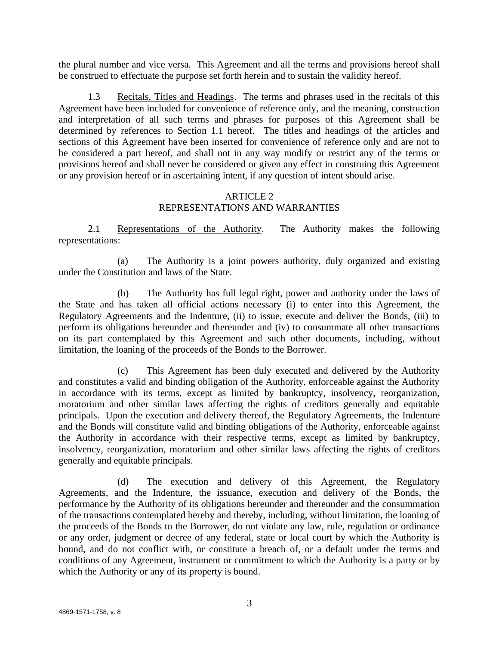the plural number and vice versa. This Agreement and all the terms and provisions hereof shall be construed to effectuate the purpose set forth herein and to sustain the validity hereof.

1.3 Recitals, Titles and Headings. The terms and phrases used in the recitals of this Agreement have been included for convenience of reference only, and the meaning, construction and interpretation of all such terms and phrases for purposes of this Agreement shall be determined by references to Section 1.1 hereof. The titles and headings of the articles and sections of this Agreement have been inserted for convenience of reference only and are not to be considered a part hereof, and shall not in any way modify or restrict any of the terms or provisions hereof and shall never be considered or given any effect in construing this Agreement or any provision hereof or in ascertaining intent, if any question of intent should arise.

### ARTICLE 2 REPRESENTATIONS AND WARRANTIES

2.1 Representations of the Authority. The Authority makes the following representations:

(a) The Authority is a joint powers authority, duly organized and existing under the Constitution and laws of the State.

(b) The Authority has full legal right, power and authority under the laws of the State and has taken all official actions necessary (i) to enter into this Agreement, the Regulatory Agreements and the Indenture, (ii) to issue, execute and deliver the Bonds, (iii) to perform its obligations hereunder and thereunder and (iv) to consummate all other transactions on its part contemplated by this Agreement and such other documents, including, without limitation, the loaning of the proceeds of the Bonds to the Borrower.

(c) This Agreement has been duly executed and delivered by the Authority and constitutes a valid and binding obligation of the Authority, enforceable against the Authority in accordance with its terms, except as limited by bankruptcy, insolvency, reorganization, moratorium and other similar laws affecting the rights of creditors generally and equitable principals. Upon the execution and delivery thereof, the Regulatory Agreements, the Indenture and the Bonds will constitute valid and binding obligations of the Authority, enforceable against the Authority in accordance with their respective terms, except as limited by bankruptcy, insolvency, reorganization, moratorium and other similar laws affecting the rights of creditors generally and equitable principals.

(d) The execution and delivery of this Agreement, the Regulatory Agreements, and the Indenture, the issuance, execution and delivery of the Bonds, the performance by the Authority of its obligations hereunder and thereunder and the consummation of the transactions contemplated hereby and thereby, including, without limitation, the loaning of the proceeds of the Bonds to the Borrower, do not violate any law, rule, regulation or ordinance or any order, judgment or decree of any federal, state or local court by which the Authority is bound, and do not conflict with, or constitute a breach of, or a default under the terms and conditions of any Agreement, instrument or commitment to which the Authority is a party or by which the Authority or any of its property is bound.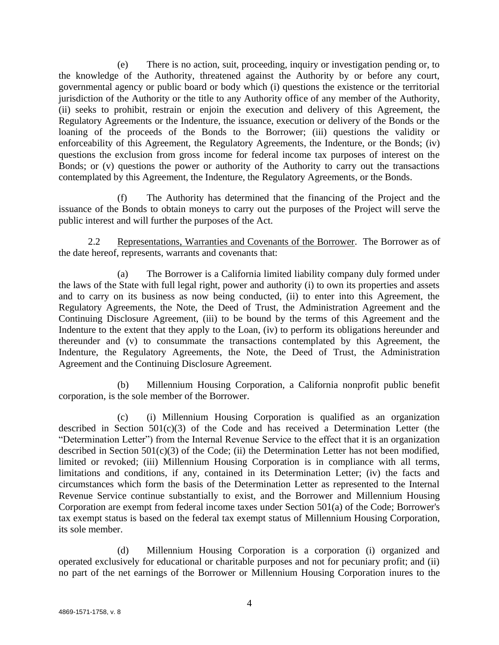(e) There is no action, suit, proceeding, inquiry or investigation pending or, to the knowledge of the Authority, threatened against the Authority by or before any court, governmental agency or public board or body which (i) questions the existence or the territorial jurisdiction of the Authority or the title to any Authority office of any member of the Authority, (ii) seeks to prohibit, restrain or enjoin the execution and delivery of this Agreement, the Regulatory Agreements or the Indenture, the issuance, execution or delivery of the Bonds or the loaning of the proceeds of the Bonds to the Borrower; (iii) questions the validity or enforceability of this Agreement, the Regulatory Agreements, the Indenture, or the Bonds; (iv) questions the exclusion from gross income for federal income tax purposes of interest on the Bonds; or (v) questions the power or authority of the Authority to carry out the transactions contemplated by this Agreement, the Indenture, the Regulatory Agreements, or the Bonds.

(f) The Authority has determined that the financing of the Project and the issuance of the Bonds to obtain moneys to carry out the purposes of the Project will serve the public interest and will further the purposes of the Act.

2.2 Representations, Warranties and Covenants of the Borrower. The Borrower as of the date hereof, represents, warrants and covenants that:

(a) The Borrower is a California limited liability company duly formed under the laws of the State with full legal right, power and authority (i) to own its properties and assets and to carry on its business as now being conducted, (ii) to enter into this Agreement, the Regulatory Agreements, the Note, the Deed of Trust, the Administration Agreement and the Continuing Disclosure Agreement, (iii) to be bound by the terms of this Agreement and the Indenture to the extent that they apply to the Loan, (iv) to perform its obligations hereunder and thereunder and (v) to consummate the transactions contemplated by this Agreement, the Indenture, the Regulatory Agreements, the Note, the Deed of Trust, the Administration Agreement and the Continuing Disclosure Agreement.

(b) Millennium Housing Corporation, a California nonprofit public benefit corporation, is the sole member of the Borrower.

(c) (i) Millennium Housing Corporation is qualified as an organization described in Section  $501(c)(3)$  of the Code and has received a Determination Letter (the "Determination Letter") from the Internal Revenue Service to the effect that it is an organization described in Section 501(c)(3) of the Code; (ii) the Determination Letter has not been modified, limited or revoked; (iii) Millennium Housing Corporation is in compliance with all terms, limitations and conditions, if any, contained in its Determination Letter; (iv) the facts and circumstances which form the basis of the Determination Letter as represented to the Internal Revenue Service continue substantially to exist, and the Borrower and Millennium Housing Corporation are exempt from federal income taxes under Section 501(a) of the Code; Borrower's tax exempt status is based on the federal tax exempt status of Millennium Housing Corporation, its sole member.

(d) Millennium Housing Corporation is a corporation (i) organized and operated exclusively for educational or charitable purposes and not for pecuniary profit; and (ii) no part of the net earnings of the Borrower or Millennium Housing Corporation inures to the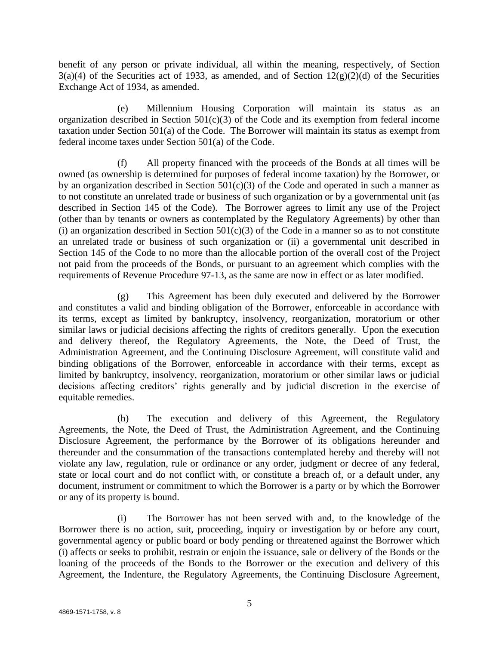benefit of any person or private individual, all within the meaning, respectively, of Section  $3(a)(4)$  of the Securities act of 1933, as amended, and of Section  $12(g)(2)(d)$  of the Securities Exchange Act of 1934, as amended.

(e) Millennium Housing Corporation will maintain its status as an organization described in Section  $501(c)(3)$  of the Code and its exemption from federal income taxation under Section 501(a) of the Code. The Borrower will maintain its status as exempt from federal income taxes under Section 501(a) of the Code.

(f) All property financed with the proceeds of the Bonds at all times will be owned (as ownership is determined for purposes of federal income taxation) by the Borrower, or by an organization described in Section  $501(c)(3)$  of the Code and operated in such a manner as to not constitute an unrelated trade or business of such organization or by a governmental unit (as described in Section 145 of the Code). The Borrower agrees to limit any use of the Project (other than by tenants or owners as contemplated by the Regulatory Agreements) by other than (i) an organization described in Section  $501(c)(3)$  of the Code in a manner so as to not constitute an unrelated trade or business of such organization or (ii) a governmental unit described in Section 145 of the Code to no more than the allocable portion of the overall cost of the Project not paid from the proceeds of the Bonds, or pursuant to an agreement which complies with the requirements of Revenue Procedure 97-13, as the same are now in effect or as later modified.

(g) This Agreement has been duly executed and delivered by the Borrower and constitutes a valid and binding obligation of the Borrower, enforceable in accordance with its terms, except as limited by bankruptcy, insolvency, reorganization, moratorium or other similar laws or judicial decisions affecting the rights of creditors generally. Upon the execution and delivery thereof, the Regulatory Agreements, the Note, the Deed of Trust, the Administration Agreement, and the Continuing Disclosure Agreement, will constitute valid and binding obligations of the Borrower, enforceable in accordance with their terms, except as limited by bankruptcy, insolvency, reorganization, moratorium or other similar laws or judicial decisions affecting creditors' rights generally and by judicial discretion in the exercise of equitable remedies.

(h) The execution and delivery of this Agreement, the Regulatory Agreements, the Note, the Deed of Trust, the Administration Agreement, and the Continuing Disclosure Agreement, the performance by the Borrower of its obligations hereunder and thereunder and the consummation of the transactions contemplated hereby and thereby will not violate any law, regulation, rule or ordinance or any order, judgment or decree of any federal, state or local court and do not conflict with, or constitute a breach of, or a default under, any document, instrument or commitment to which the Borrower is a party or by which the Borrower or any of its property is bound.

(i) The Borrower has not been served with and, to the knowledge of the Borrower there is no action, suit, proceeding, inquiry or investigation by or before any court, governmental agency or public board or body pending or threatened against the Borrower which (i) affects or seeks to prohibit, restrain or enjoin the issuance, sale or delivery of the Bonds or the loaning of the proceeds of the Bonds to the Borrower or the execution and delivery of this Agreement, the Indenture, the Regulatory Agreements, the Continuing Disclosure Agreement,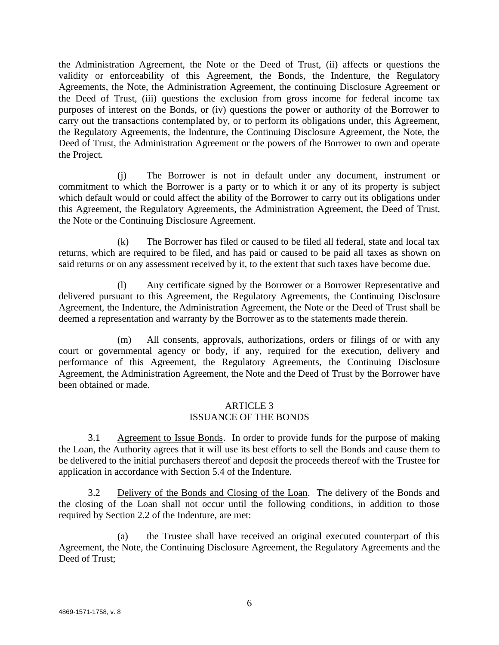the Administration Agreement, the Note or the Deed of Trust, (ii) affects or questions the validity or enforceability of this Agreement, the Bonds, the Indenture, the Regulatory Agreements, the Note, the Administration Agreement, the continuing Disclosure Agreement or the Deed of Trust, (iii) questions the exclusion from gross income for federal income tax purposes of interest on the Bonds, or (iv) questions the power or authority of the Borrower to carry out the transactions contemplated by, or to perform its obligations under, this Agreement, the Regulatory Agreements, the Indenture, the Continuing Disclosure Agreement, the Note, the Deed of Trust, the Administration Agreement or the powers of the Borrower to own and operate the Project.

(j) The Borrower is not in default under any document, instrument or commitment to which the Borrower is a party or to which it or any of its property is subject which default would or could affect the ability of the Borrower to carry out its obligations under this Agreement, the Regulatory Agreements, the Administration Agreement, the Deed of Trust, the Note or the Continuing Disclosure Agreement.

(k) The Borrower has filed or caused to be filed all federal, state and local tax returns, which are required to be filed, and has paid or caused to be paid all taxes as shown on said returns or on any assessment received by it, to the extent that such taxes have become due.

(l) Any certificate signed by the Borrower or a Borrower Representative and delivered pursuant to this Agreement, the Regulatory Agreements, the Continuing Disclosure Agreement, the Indenture, the Administration Agreement, the Note or the Deed of Trust shall be deemed a representation and warranty by the Borrower as to the statements made therein.

(m) All consents, approvals, authorizations, orders or filings of or with any court or governmental agency or body, if any, required for the execution, delivery and performance of this Agreement, the Regulatory Agreements, the Continuing Disclosure Agreement, the Administration Agreement, the Note and the Deed of Trust by the Borrower have been obtained or made.

#### ARTICLE 3 ISSUANCE OF THE BONDS

3.1 Agreement to Issue Bonds. In order to provide funds for the purpose of making the Loan, the Authority agrees that it will use its best efforts to sell the Bonds and cause them to be delivered to the initial purchasers thereof and deposit the proceeds thereof with the Trustee for application in accordance with Section 5.4 of the Indenture.

3.2 Delivery of the Bonds and Closing of the Loan. The delivery of the Bonds and the closing of the Loan shall not occur until the following conditions, in addition to those required by Section 2.2 of the Indenture, are met:

(a) the Trustee shall have received an original executed counterpart of this Agreement, the Note, the Continuing Disclosure Agreement, the Regulatory Agreements and the Deed of Trust;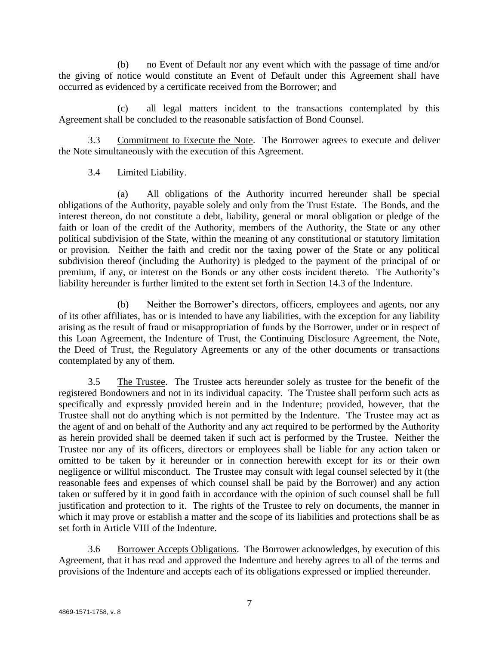(b) no Event of Default nor any event which with the passage of time and/or the giving of notice would constitute an Event of Default under this Agreement shall have occurred as evidenced by a certificate received from the Borrower; and

(c) all legal matters incident to the transactions contemplated by this Agreement shall be concluded to the reasonable satisfaction of Bond Counsel.

3.3 Commitment to Execute the Note. The Borrower agrees to execute and deliver the Note simultaneously with the execution of this Agreement.

## 3.4 Limited Liability.

(a) All obligations of the Authority incurred hereunder shall be special obligations of the Authority, payable solely and only from the Trust Estate. The Bonds, and the interest thereon, do not constitute a debt, liability, general or moral obligation or pledge of the faith or loan of the credit of the Authority, members of the Authority, the State or any other political subdivision of the State, within the meaning of any constitutional or statutory limitation or provision. Neither the faith and credit nor the taxing power of the State or any political subdivision thereof (including the Authority) is pledged to the payment of the principal of or premium, if any, or interest on the Bonds or any other costs incident thereto. The Authority's liability hereunder is further limited to the extent set forth in Section 14.3 of the Indenture.

(b) Neither the Borrower's directors, officers, employees and agents, nor any of its other affiliates, has or is intended to have any liabilities, with the exception for any liability arising as the result of fraud or misappropriation of funds by the Borrower, under or in respect of this Loan Agreement, the Indenture of Trust, the Continuing Disclosure Agreement, the Note, the Deed of Trust, the Regulatory Agreements or any of the other documents or transactions contemplated by any of them.

3.5 The Trustee. The Trustee acts hereunder solely as trustee for the benefit of the registered Bondowners and not in its individual capacity. The Trustee shall perform such acts as specifically and expressly provided herein and in the Indenture; provided, however, that the Trustee shall not do anything which is not permitted by the Indenture. The Trustee may act as the agent of and on behalf of the Authority and any act required to be performed by the Authority as herein provided shall be deemed taken if such act is performed by the Trustee. Neither the Trustee nor any of its officers, directors or employees shall be liable for any action taken or omitted to be taken by it hereunder or in connection herewith except for its or their own negligence or willful misconduct. The Trustee may consult with legal counsel selected by it (the reasonable fees and expenses of which counsel shall be paid by the Borrower) and any action taken or suffered by it in good faith in accordance with the opinion of such counsel shall be full justification and protection to it. The rights of the Trustee to rely on documents, the manner in which it may prove or establish a matter and the scope of its liabilities and protections shall be as set forth in Article VIII of the Indenture.

3.6 Borrower Accepts Obligations. The Borrower acknowledges, by execution of this Agreement, that it has read and approved the Indenture and hereby agrees to all of the terms and provisions of the Indenture and accepts each of its obligations expressed or implied thereunder.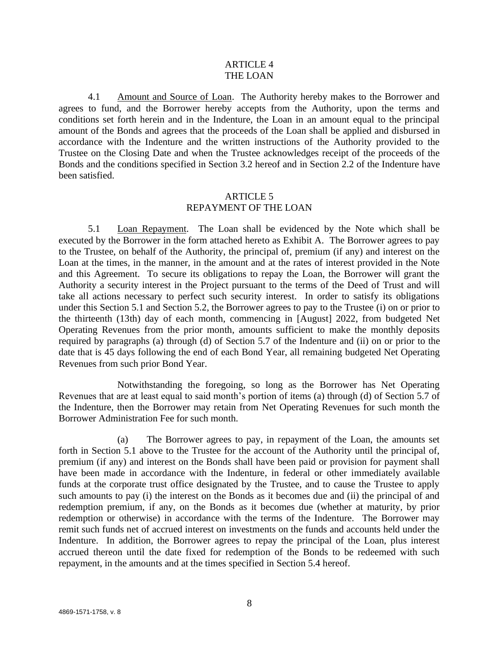#### ARTICLE 4 THE LOAN

4.1 Amount and Source of Loan. The Authority hereby makes to the Borrower and agrees to fund, and the Borrower hereby accepts from the Authority, upon the terms and conditions set forth herein and in the Indenture, the Loan in an amount equal to the principal amount of the Bonds and agrees that the proceeds of the Loan shall be applied and disbursed in accordance with the Indenture and the written instructions of the Authority provided to the Trustee on the Closing Date and when the Trustee acknowledges receipt of the proceeds of the Bonds and the conditions specified in Section 3.2 hereof and in Section 2.2 of the Indenture have been satisfied.

#### ARTICLE 5 REPAYMENT OF THE LOAN

5.1 Loan Repayment. The Loan shall be evidenced by the Note which shall be executed by the Borrower in the form attached hereto as Exhibit A. The Borrower agrees to pay to the Trustee, on behalf of the Authority, the principal of, premium (if any) and interest on the Loan at the times, in the manner, in the amount and at the rates of interest provided in the Note and this Agreement. To secure its obligations to repay the Loan, the Borrower will grant the Authority a security interest in the Project pursuant to the terms of the Deed of Trust and will take all actions necessary to perfect such security interest. In order to satisfy its obligations under this Section 5.1 and Section 5.2, the Borrower agrees to pay to the Trustee (i) on or prior to the thirteenth (13th) day of each month, commencing in [August] 2022, from budgeted Net Operating Revenues from the prior month, amounts sufficient to make the monthly deposits required by paragraphs (a) through (d) of Section 5.7 of the Indenture and (ii) on or prior to the date that is 45 days following the end of each Bond Year, all remaining budgeted Net Operating Revenues from such prior Bond Year.

Notwithstanding the foregoing, so long as the Borrower has Net Operating Revenues that are at least equal to said month's portion of items (a) through (d) of Section 5.7 of the Indenture, then the Borrower may retain from Net Operating Revenues for such month the Borrower Administration Fee for such month.

(a) The Borrower agrees to pay, in repayment of the Loan, the amounts set forth in Section 5.1 above to the Trustee for the account of the Authority until the principal of, premium (if any) and interest on the Bonds shall have been paid or provision for payment shall have been made in accordance with the Indenture, in federal or other immediately available funds at the corporate trust office designated by the Trustee, and to cause the Trustee to apply such amounts to pay (i) the interest on the Bonds as it becomes due and (ii) the principal of and redemption premium, if any, on the Bonds as it becomes due (whether at maturity, by prior redemption or otherwise) in accordance with the terms of the Indenture. The Borrower may remit such funds net of accrued interest on investments on the funds and accounts held under the Indenture. In addition, the Borrower agrees to repay the principal of the Loan, plus interest accrued thereon until the date fixed for redemption of the Bonds to be redeemed with such repayment, in the amounts and at the times specified in Section 5.4 hereof.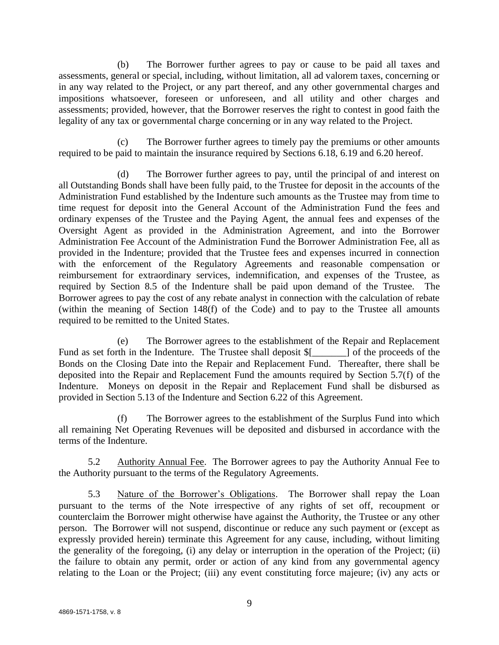(b) The Borrower further agrees to pay or cause to be paid all taxes and assessments, general or special, including, without limitation, all ad valorem taxes, concerning or in any way related to the Project, or any part thereof, and any other governmental charges and impositions whatsoever, foreseen or unforeseen, and all utility and other charges and assessments; provided, however, that the Borrower reserves the right to contest in good faith the legality of any tax or governmental charge concerning or in any way related to the Project.

(c) The Borrower further agrees to timely pay the premiums or other amounts required to be paid to maintain the insurance required by Sections 6.18, 6.19 and 6.20 hereof.

(d) The Borrower further agrees to pay, until the principal of and interest on all Outstanding Bonds shall have been fully paid, to the Trustee for deposit in the accounts of the Administration Fund established by the Indenture such amounts as the Trustee may from time to time request for deposit into the General Account of the Administration Fund the fees and ordinary expenses of the Trustee and the Paying Agent, the annual fees and expenses of the Oversight Agent as provided in the Administration Agreement, and into the Borrower Administration Fee Account of the Administration Fund the Borrower Administration Fee, all as provided in the Indenture; provided that the Trustee fees and expenses incurred in connection with the enforcement of the Regulatory Agreements and reasonable compensation or reimbursement for extraordinary services, indemnification, and expenses of the Trustee, as required by Section 8.5 of the Indenture shall be paid upon demand of the Trustee. The Borrower agrees to pay the cost of any rebate analyst in connection with the calculation of rebate (within the meaning of Section 148(f) of the Code) and to pay to the Trustee all amounts required to be remitted to the United States.

(e) The Borrower agrees to the establishment of the Repair and Replacement Fund as set forth in the Indenture. The Trustee shall deposit  $\lVert \cdot \rVert$  [\_\_\_\_\_\_\_] of the proceeds of the Bonds on the Closing Date into the Repair and Replacement Fund. Thereafter, there shall be deposited into the Repair and Replacement Fund the amounts required by Section 5.7(f) of the Indenture. Moneys on deposit in the Repair and Replacement Fund shall be disbursed as provided in Section 5.13 of the Indenture and Section 6.22 of this Agreement.

(f) The Borrower agrees to the establishment of the Surplus Fund into which all remaining Net Operating Revenues will be deposited and disbursed in accordance with the terms of the Indenture.

5.2 Authority Annual Fee. The Borrower agrees to pay the Authority Annual Fee to the Authority pursuant to the terms of the Regulatory Agreements.

5.3 Nature of the Borrower's Obligations. The Borrower shall repay the Loan pursuant to the terms of the Note irrespective of any rights of set off, recoupment or counterclaim the Borrower might otherwise have against the Authority, the Trustee or any other person. The Borrower will not suspend, discontinue or reduce any such payment or (except as expressly provided herein) terminate this Agreement for any cause, including, without limiting the generality of the foregoing, (i) any delay or interruption in the operation of the Project; (ii) the failure to obtain any permit, order or action of any kind from any governmental agency relating to the Loan or the Project; (iii) any event constituting force majeure; (iv) any acts or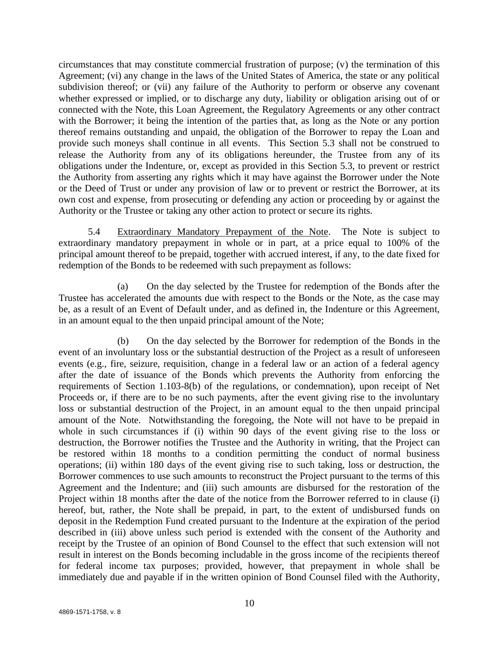circumstances that may constitute commercial frustration of purpose; (v) the termination of this Agreement; (vi) any change in the laws of the United States of America, the state or any political subdivision thereof; or (vii) any failure of the Authority to perform or observe any covenant whether expressed or implied, or to discharge any duty, liability or obligation arising out of or connected with the Note, this Loan Agreement, the Regulatory Agreements or any other contract with the Borrower; it being the intention of the parties that, as long as the Note or any portion thereof remains outstanding and unpaid, the obligation of the Borrower to repay the Loan and provide such moneys shall continue in all events. This Section 5.3 shall not be construed to release the Authority from any of its obligations hereunder, the Trustee from any of its obligations under the Indenture, or, except as provided in this Section 5.3, to prevent or restrict the Authority from asserting any rights which it may have against the Borrower under the Note or the Deed of Trust or under any provision of law or to prevent or restrict the Borrower, at its own cost and expense, from prosecuting or defending any action or proceeding by or against the Authority or the Trustee or taking any other action to protect or secure its rights.

5.4 Extraordinary Mandatory Prepayment of the Note. The Note is subject to extraordinary mandatory prepayment in whole or in part, at a price equal to 100% of the principal amount thereof to be prepaid, together with accrued interest, if any, to the date fixed for redemption of the Bonds to be redeemed with such prepayment as follows:

(a) On the day selected by the Trustee for redemption of the Bonds after the Trustee has accelerated the amounts due with respect to the Bonds or the Note, as the case may be, as a result of an Event of Default under, and as defined in, the Indenture or this Agreement, in an amount equal to the then unpaid principal amount of the Note;

(b) On the day selected by the Borrower for redemption of the Bonds in the event of an involuntary loss or the substantial destruction of the Project as a result of unforeseen events (e.g., fire, seizure, requisition, change in a federal law or an action of a federal agency after the date of issuance of the Bonds which prevents the Authority from enforcing the requirements of Section 1.103-8(b) of the regulations, or condemnation), upon receipt of Net Proceeds or, if there are to be no such payments, after the event giving rise to the involuntary loss or substantial destruction of the Project, in an amount equal to the then unpaid principal amount of the Note. Notwithstanding the foregoing, the Note will not have to be prepaid in whole in such circumstances if (i) within 90 days of the event giving rise to the loss or destruction, the Borrower notifies the Trustee and the Authority in writing, that the Project can be restored within 18 months to a condition permitting the conduct of normal business operations; (ii) within 180 days of the event giving rise to such taking, loss or destruction, the Borrower commences to use such amounts to reconstruct the Project pursuant to the terms of this Agreement and the Indenture; and (iii) such amounts are disbursed for the restoration of the Project within 18 months after the date of the notice from the Borrower referred to in clause (i) hereof, but, rather, the Note shall be prepaid, in part, to the extent of undisbursed funds on deposit in the Redemption Fund created pursuant to the Indenture at the expiration of the period described in (iii) above unless such period is extended with the consent of the Authority and receipt by the Trustee of an opinion of Bond Counsel to the effect that such extension will not result in interest on the Bonds becoming includable in the gross income of the recipients thereof for federal income tax purposes; provided, however, that prepayment in whole shall be immediately due and payable if in the written opinion of Bond Counsel filed with the Authority,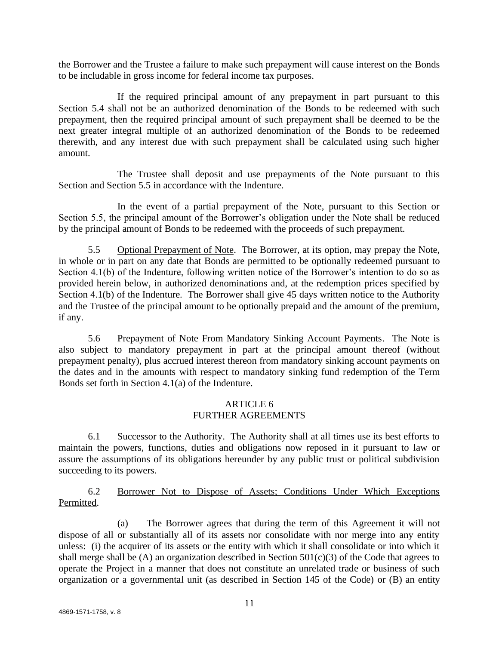the Borrower and the Trustee a failure to make such prepayment will cause interest on the Bonds to be includable in gross income for federal income tax purposes.

If the required principal amount of any prepayment in part pursuant to this Section 5.4 shall not be an authorized denomination of the Bonds to be redeemed with such prepayment, then the required principal amount of such prepayment shall be deemed to be the next greater integral multiple of an authorized denomination of the Bonds to be redeemed therewith, and any interest due with such prepayment shall be calculated using such higher amount.

The Trustee shall deposit and use prepayments of the Note pursuant to this Section and Section 5.5 in accordance with the Indenture.

In the event of a partial prepayment of the Note, pursuant to this Section or Section 5.5, the principal amount of the Borrower's obligation under the Note shall be reduced by the principal amount of Bonds to be redeemed with the proceeds of such prepayment.

5.5 Optional Prepayment of Note. The Borrower, at its option, may prepay the Note, in whole or in part on any date that Bonds are permitted to be optionally redeemed pursuant to Section 4.1(b) of the Indenture, following written notice of the Borrower's intention to do so as provided herein below, in authorized denominations and, at the redemption prices specified by Section 4.1(b) of the Indenture. The Borrower shall give 45 days written notice to the Authority and the Trustee of the principal amount to be optionally prepaid and the amount of the premium, if any.

5.6 Prepayment of Note From Mandatory Sinking Account Payments. The Note is also subject to mandatory prepayment in part at the principal amount thereof (without prepayment penalty), plus accrued interest thereon from mandatory sinking account payments on the dates and in the amounts with respect to mandatory sinking fund redemption of the Term Bonds set forth in Section 4.1(a) of the Indenture.

### ARTICLE 6 FURTHER AGREEMENTS

6.1 Successor to the Authority. The Authority shall at all times use its best efforts to maintain the powers, functions, duties and obligations now reposed in it pursuant to law or assure the assumptions of its obligations hereunder by any public trust or political subdivision succeeding to its powers.

6.2 Borrower Not to Dispose of Assets; Conditions Under Which Exceptions Permitted.

(a) The Borrower agrees that during the term of this Agreement it will not dispose of all or substantially all of its assets nor consolidate with nor merge into any entity unless: (i) the acquirer of its assets or the entity with which it shall consolidate or into which it shall merge shall be  $(A)$  an organization described in Section 501 $(c)(3)$  of the Code that agrees to operate the Project in a manner that does not constitute an unrelated trade or business of such organization or a governmental unit (as described in Section 145 of the Code) or (B) an entity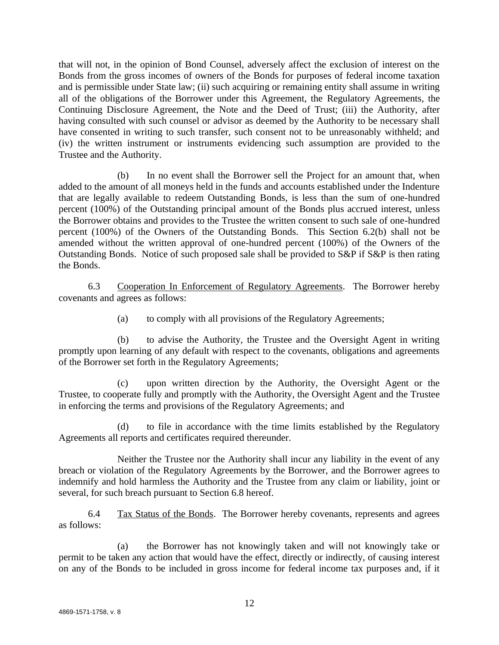that will not, in the opinion of Bond Counsel, adversely affect the exclusion of interest on the Bonds from the gross incomes of owners of the Bonds for purposes of federal income taxation and is permissible under State law; (ii) such acquiring or remaining entity shall assume in writing all of the obligations of the Borrower under this Agreement, the Regulatory Agreements, the Continuing Disclosure Agreement, the Note and the Deed of Trust; (iii) the Authority, after having consulted with such counsel or advisor as deemed by the Authority to be necessary shall have consented in writing to such transfer, such consent not to be unreasonably withheld; and (iv) the written instrument or instruments evidencing such assumption are provided to the Trustee and the Authority.

(b) In no event shall the Borrower sell the Project for an amount that, when added to the amount of all moneys held in the funds and accounts established under the Indenture that are legally available to redeem Outstanding Bonds, is less than the sum of one-hundred percent (100%) of the Outstanding principal amount of the Bonds plus accrued interest, unless the Borrower obtains and provides to the Trustee the written consent to such sale of one-hundred percent (100%) of the Owners of the Outstanding Bonds. This Section 6.2(b) shall not be amended without the written approval of one-hundred percent (100%) of the Owners of the Outstanding Bonds. Notice of such proposed sale shall be provided to S&P if S&P is then rating the Bonds.

6.3 Cooperation In Enforcement of Regulatory Agreements. The Borrower hereby covenants and agrees as follows:

(a) to comply with all provisions of the Regulatory Agreements;

(b) to advise the Authority, the Trustee and the Oversight Agent in writing promptly upon learning of any default with respect to the covenants, obligations and agreements of the Borrower set forth in the Regulatory Agreements;

(c) upon written direction by the Authority, the Oversight Agent or the Trustee, to cooperate fully and promptly with the Authority, the Oversight Agent and the Trustee in enforcing the terms and provisions of the Regulatory Agreements; and

(d) to file in accordance with the time limits established by the Regulatory Agreements all reports and certificates required thereunder.

Neither the Trustee nor the Authority shall incur any liability in the event of any breach or violation of the Regulatory Agreements by the Borrower, and the Borrower agrees to indemnify and hold harmless the Authority and the Trustee from any claim or liability, joint or several, for such breach pursuant to Section 6.8 hereof.

6.4 Tax Status of the Bonds. The Borrower hereby covenants, represents and agrees as follows:

(a) the Borrower has not knowingly taken and will not knowingly take or permit to be taken any action that would have the effect, directly or indirectly, of causing interest on any of the Bonds to be included in gross income for federal income tax purposes and, if it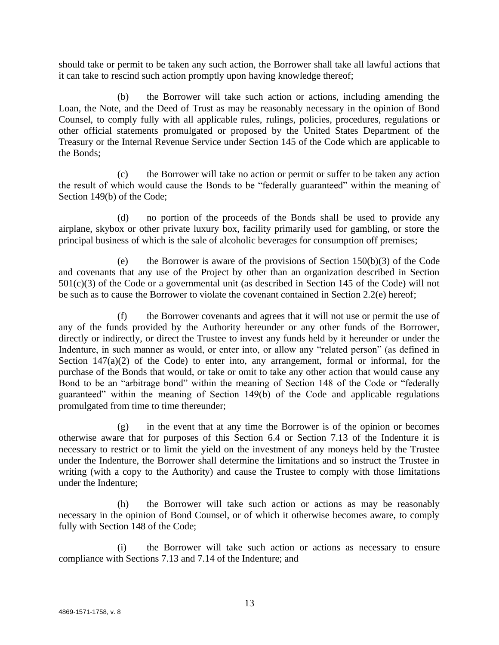should take or permit to be taken any such action, the Borrower shall take all lawful actions that it can take to rescind such action promptly upon having knowledge thereof;

(b) the Borrower will take such action or actions, including amending the Loan, the Note, and the Deed of Trust as may be reasonably necessary in the opinion of Bond Counsel, to comply fully with all applicable rules, rulings, policies, procedures, regulations or other official statements promulgated or proposed by the United States Department of the Treasury or the Internal Revenue Service under Section 145 of the Code which are applicable to the Bonds;

(c) the Borrower will take no action or permit or suffer to be taken any action the result of which would cause the Bonds to be "federally guaranteed" within the meaning of Section 149(b) of the Code;

(d) no portion of the proceeds of the Bonds shall be used to provide any airplane, skybox or other private luxury box, facility primarily used for gambling, or store the principal business of which is the sale of alcoholic beverages for consumption off premises;

(e) the Borrower is aware of the provisions of Section  $150(b)(3)$  of the Code and covenants that any use of the Project by other than an organization described in Section 501(c)(3) of the Code or a governmental unit (as described in Section 145 of the Code) will not be such as to cause the Borrower to violate the covenant contained in Section 2.2(e) hereof;

(f) the Borrower covenants and agrees that it will not use or permit the use of any of the funds provided by the Authority hereunder or any other funds of the Borrower, directly or indirectly, or direct the Trustee to invest any funds held by it hereunder or under the Indenture, in such manner as would, or enter into, or allow any "related person" (as defined in Section  $147(a)(2)$  of the Code) to enter into, any arrangement, formal or informal, for the purchase of the Bonds that would, or take or omit to take any other action that would cause any Bond to be an "arbitrage bond" within the meaning of Section 148 of the Code or "federally guaranteed" within the meaning of Section 149(b) of the Code and applicable regulations promulgated from time to time thereunder;

(g) in the event that at any time the Borrower is of the opinion or becomes otherwise aware that for purposes of this Section 6.4 or Section 7.13 of the Indenture it is necessary to restrict or to limit the yield on the investment of any moneys held by the Trustee under the Indenture, the Borrower shall determine the limitations and so instruct the Trustee in writing (with a copy to the Authority) and cause the Trustee to comply with those limitations under the Indenture;

(h) the Borrower will take such action or actions as may be reasonably necessary in the opinion of Bond Counsel, or of which it otherwise becomes aware, to comply fully with Section 148 of the Code;

(i) the Borrower will take such action or actions as necessary to ensure compliance with Sections 7.13 and 7.14 of the Indenture; and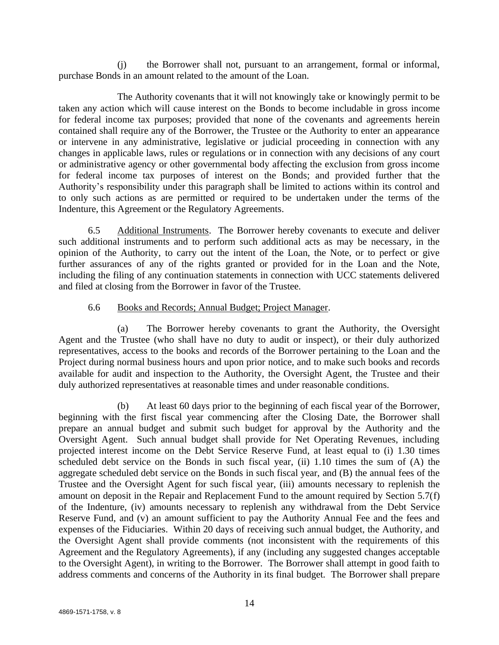(j) the Borrower shall not, pursuant to an arrangement, formal or informal, purchase Bonds in an amount related to the amount of the Loan.

The Authority covenants that it will not knowingly take or knowingly permit to be taken any action which will cause interest on the Bonds to become includable in gross income for federal income tax purposes; provided that none of the covenants and agreements herein contained shall require any of the Borrower, the Trustee or the Authority to enter an appearance or intervene in any administrative, legislative or judicial proceeding in connection with any changes in applicable laws, rules or regulations or in connection with any decisions of any court or administrative agency or other governmental body affecting the exclusion from gross income for federal income tax purposes of interest on the Bonds; and provided further that the Authority's responsibility under this paragraph shall be limited to actions within its control and to only such actions as are permitted or required to be undertaken under the terms of the Indenture, this Agreement or the Regulatory Agreements.

6.5 Additional Instruments. The Borrower hereby covenants to execute and deliver such additional instruments and to perform such additional acts as may be necessary, in the opinion of the Authority, to carry out the intent of the Loan, the Note, or to perfect or give further assurances of any of the rights granted or provided for in the Loan and the Note, including the filing of any continuation statements in connection with UCC statements delivered and filed at closing from the Borrower in favor of the Trustee.

### 6.6 Books and Records; Annual Budget; Project Manager.

(a) The Borrower hereby covenants to grant the Authority, the Oversight Agent and the Trustee (who shall have no duty to audit or inspect), or their duly authorized representatives, access to the books and records of the Borrower pertaining to the Loan and the Project during normal business hours and upon prior notice, and to make such books and records available for audit and inspection to the Authority, the Oversight Agent, the Trustee and their duly authorized representatives at reasonable times and under reasonable conditions.

(b) At least 60 days prior to the beginning of each fiscal year of the Borrower, beginning with the first fiscal year commencing after the Closing Date, the Borrower shall prepare an annual budget and submit such budget for approval by the Authority and the Oversight Agent. Such annual budget shall provide for Net Operating Revenues, including projected interest income on the Debt Service Reserve Fund, at least equal to (i) 1.30 times scheduled debt service on the Bonds in such fiscal year, (ii) 1.10 times the sum of (A) the aggregate scheduled debt service on the Bonds in such fiscal year, and (B) the annual fees of the Trustee and the Oversight Agent for such fiscal year, (iii) amounts necessary to replenish the amount on deposit in the Repair and Replacement Fund to the amount required by Section 5.7(f) of the Indenture, (iv) amounts necessary to replenish any withdrawal from the Debt Service Reserve Fund, and (v) an amount sufficient to pay the Authority Annual Fee and the fees and expenses of the Fiduciaries. Within 20 days of receiving such annual budget, the Authority, and the Oversight Agent shall provide comments (not inconsistent with the requirements of this Agreement and the Regulatory Agreements), if any (including any suggested changes acceptable to the Oversight Agent), in writing to the Borrower. The Borrower shall attempt in good faith to address comments and concerns of the Authority in its final budget. The Borrower shall prepare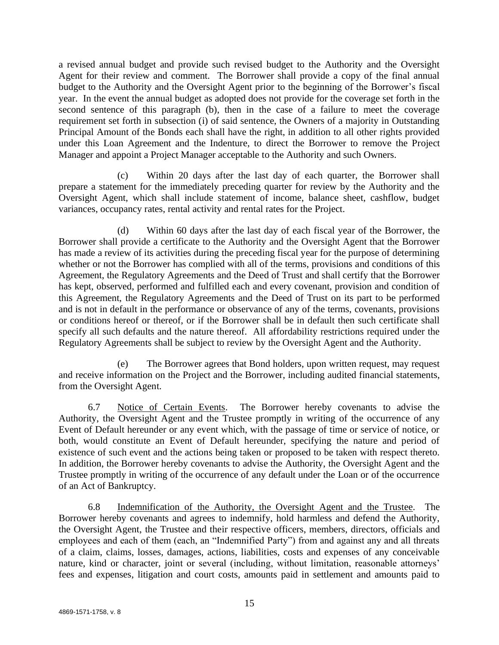a revised annual budget and provide such revised budget to the Authority and the Oversight Agent for their review and comment. The Borrower shall provide a copy of the final annual budget to the Authority and the Oversight Agent prior to the beginning of the Borrower's fiscal year. In the event the annual budget as adopted does not provide for the coverage set forth in the second sentence of this paragraph (b), then in the case of a failure to meet the coverage requirement set forth in subsection (i) of said sentence, the Owners of a majority in Outstanding Principal Amount of the Bonds each shall have the right, in addition to all other rights provided under this Loan Agreement and the Indenture, to direct the Borrower to remove the Project Manager and appoint a Project Manager acceptable to the Authority and such Owners.

(c) Within 20 days after the last day of each quarter, the Borrower shall prepare a statement for the immediately preceding quarter for review by the Authority and the Oversight Agent, which shall include statement of income, balance sheet, cashflow, budget variances, occupancy rates, rental activity and rental rates for the Project.

(d) Within 60 days after the last day of each fiscal year of the Borrower, the Borrower shall provide a certificate to the Authority and the Oversight Agent that the Borrower has made a review of its activities during the preceding fiscal year for the purpose of determining whether or not the Borrower has complied with all of the terms, provisions and conditions of this Agreement, the Regulatory Agreements and the Deed of Trust and shall certify that the Borrower has kept, observed, performed and fulfilled each and every covenant, provision and condition of this Agreement, the Regulatory Agreements and the Deed of Trust on its part to be performed and is not in default in the performance or observance of any of the terms, covenants, provisions or conditions hereof or thereof, or if the Borrower shall be in default then such certificate shall specify all such defaults and the nature thereof. All affordability restrictions required under the Regulatory Agreements shall be subject to review by the Oversight Agent and the Authority.

(e) The Borrower agrees that Bond holders, upon written request, may request and receive information on the Project and the Borrower, including audited financial statements, from the Oversight Agent.

6.7 Notice of Certain Events. The Borrower hereby covenants to advise the Authority, the Oversight Agent and the Trustee promptly in writing of the occurrence of any Event of Default hereunder or any event which, with the passage of time or service of notice, or both, would constitute an Event of Default hereunder, specifying the nature and period of existence of such event and the actions being taken or proposed to be taken with respect thereto. In addition, the Borrower hereby covenants to advise the Authority, the Oversight Agent and the Trustee promptly in writing of the occurrence of any default under the Loan or of the occurrence of an Act of Bankruptcy.

6.8 Indemnification of the Authority, the Oversight Agent and the Trustee. The Borrower hereby covenants and agrees to indemnify, hold harmless and defend the Authority, the Oversight Agent, the Trustee and their respective officers, members, directors, officials and employees and each of them (each, an "Indemnified Party") from and against any and all threats of a claim, claims, losses, damages, actions, liabilities, costs and expenses of any conceivable nature, kind or character, joint or several (including, without limitation, reasonable attorneys' fees and expenses, litigation and court costs, amounts paid in settlement and amounts paid to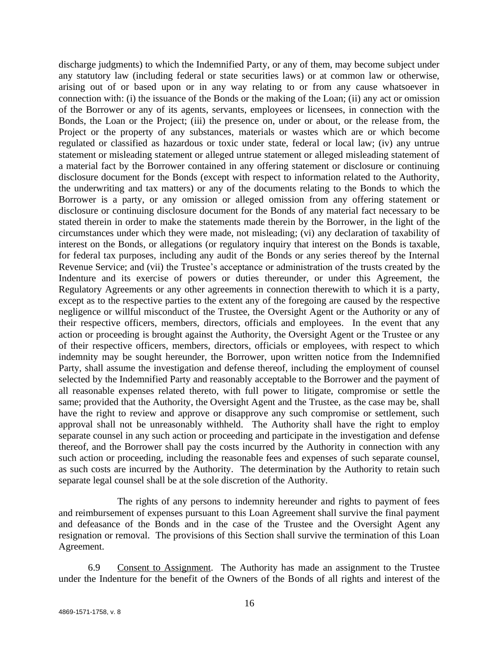discharge judgments) to which the Indemnified Party, or any of them, may become subject under any statutory law (including federal or state securities laws) or at common law or otherwise, arising out of or based upon or in any way relating to or from any cause whatsoever in connection with: (i) the issuance of the Bonds or the making of the Loan; (ii) any act or omission of the Borrower or any of its agents, servants, employees or licensees, in connection with the Bonds, the Loan or the Project; (iii) the presence on, under or about, or the release from, the Project or the property of any substances, materials or wastes which are or which become regulated or classified as hazardous or toxic under state, federal or local law; (iv) any untrue statement or misleading statement or alleged untrue statement or alleged misleading statement of a material fact by the Borrower contained in any offering statement or disclosure or continuing disclosure document for the Bonds (except with respect to information related to the Authority, the underwriting and tax matters) or any of the documents relating to the Bonds to which the Borrower is a party, or any omission or alleged omission from any offering statement or disclosure or continuing disclosure document for the Bonds of any material fact necessary to be stated therein in order to make the statements made therein by the Borrower, in the light of the circumstances under which they were made, not misleading; (vi) any declaration of taxability of interest on the Bonds, or allegations (or regulatory inquiry that interest on the Bonds is taxable, for federal tax purposes, including any audit of the Bonds or any series thereof by the Internal Revenue Service; and (vii) the Trustee's acceptance or administration of the trusts created by the Indenture and its exercise of powers or duties thereunder, or under this Agreement, the Regulatory Agreements or any other agreements in connection therewith to which it is a party, except as to the respective parties to the extent any of the foregoing are caused by the respective negligence or willful misconduct of the Trustee, the Oversight Agent or the Authority or any of their respective officers, members, directors, officials and employees. In the event that any action or proceeding is brought against the Authority, the Oversight Agent or the Trustee or any of their respective officers, members, directors, officials or employees, with respect to which indemnity may be sought hereunder, the Borrower, upon written notice from the Indemnified Party, shall assume the investigation and defense thereof, including the employment of counsel selected by the Indemnified Party and reasonably acceptable to the Borrower and the payment of all reasonable expenses related thereto, with full power to litigate, compromise or settle the same; provided that the Authority, the Oversight Agent and the Trustee, as the case may be, shall have the right to review and approve or disapprove any such compromise or settlement, such approval shall not be unreasonably withheld. The Authority shall have the right to employ separate counsel in any such action or proceeding and participate in the investigation and defense thereof, and the Borrower shall pay the costs incurred by the Authority in connection with any such action or proceeding, including the reasonable fees and expenses of such separate counsel, as such costs are incurred by the Authority. The determination by the Authority to retain such separate legal counsel shall be at the sole discretion of the Authority.

The rights of any persons to indemnity hereunder and rights to payment of fees and reimbursement of expenses pursuant to this Loan Agreement shall survive the final payment and defeasance of the Bonds and in the case of the Trustee and the Oversight Agent any resignation or removal. The provisions of this Section shall survive the termination of this Loan Agreement.

6.9 Consent to Assignment. The Authority has made an assignment to the Trustee under the Indenture for the benefit of the Owners of the Bonds of all rights and interest of the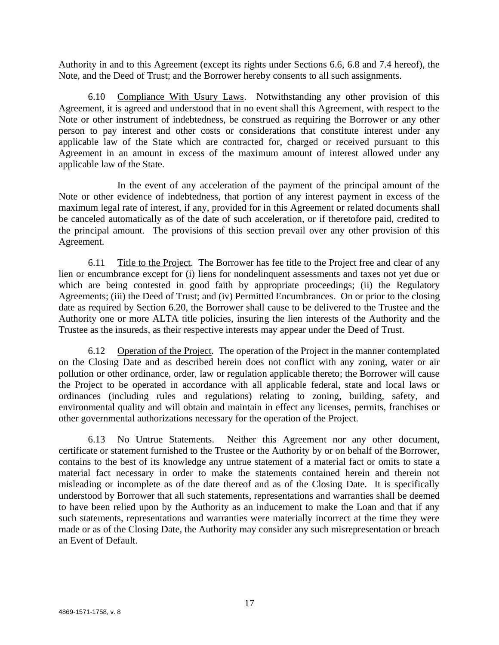Authority in and to this Agreement (except its rights under Sections 6.6, 6.8 and 7.4 hereof), the Note, and the Deed of Trust; and the Borrower hereby consents to all such assignments.

6.10 Compliance With Usury Laws. Notwithstanding any other provision of this Agreement, it is agreed and understood that in no event shall this Agreement, with respect to the Note or other instrument of indebtedness, be construed as requiring the Borrower or any other person to pay interest and other costs or considerations that constitute interest under any applicable law of the State which are contracted for, charged or received pursuant to this Agreement in an amount in excess of the maximum amount of interest allowed under any applicable law of the State.

In the event of any acceleration of the payment of the principal amount of the Note or other evidence of indebtedness, that portion of any interest payment in excess of the maximum legal rate of interest, if any, provided for in this Agreement or related documents shall be canceled automatically as of the date of such acceleration, or if theretofore paid, credited to the principal amount. The provisions of this section prevail over any other provision of this Agreement.

6.11 Title to the Project. The Borrower has fee title to the Project free and clear of any lien or encumbrance except for (i) liens for nondelinquent assessments and taxes not yet due or which are being contested in good faith by appropriate proceedings; (ii) the Regulatory Agreements; (iii) the Deed of Trust; and (iv) Permitted Encumbrances. On or prior to the closing date as required by Section 6.20, the Borrower shall cause to be delivered to the Trustee and the Authority one or more ALTA title policies, insuring the lien interests of the Authority and the Trustee as the insureds, as their respective interests may appear under the Deed of Trust.

6.12 Operation of the Project. The operation of the Project in the manner contemplated on the Closing Date and as described herein does not conflict with any zoning, water or air pollution or other ordinance, order, law or regulation applicable thereto; the Borrower will cause the Project to be operated in accordance with all applicable federal, state and local laws or ordinances (including rules and regulations) relating to zoning, building, safety, and environmental quality and will obtain and maintain in effect any licenses, permits, franchises or other governmental authorizations necessary for the operation of the Project.

6.13 No Untrue Statements. Neither this Agreement nor any other document, certificate or statement furnished to the Trustee or the Authority by or on behalf of the Borrower, contains to the best of its knowledge any untrue statement of a material fact or omits to state a material fact necessary in order to make the statements contained herein and therein not misleading or incomplete as of the date thereof and as of the Closing Date. It is specifically understood by Borrower that all such statements, representations and warranties shall be deemed to have been relied upon by the Authority as an inducement to make the Loan and that if any such statements, representations and warranties were materially incorrect at the time they were made or as of the Closing Date, the Authority may consider any such misrepresentation or breach an Event of Default.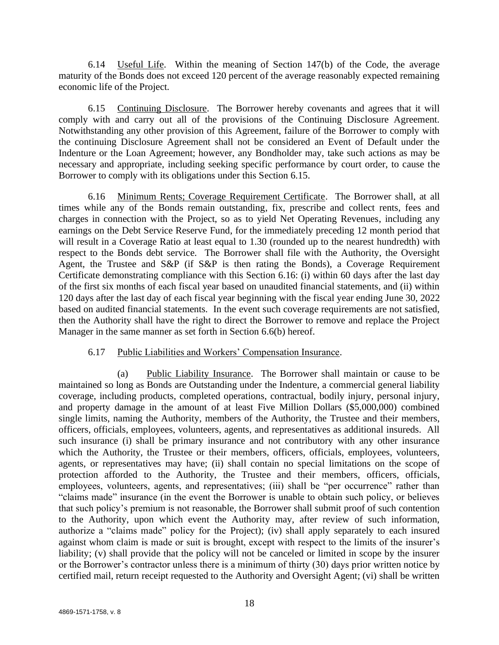6.14 Useful Life. Within the meaning of Section 147(b) of the Code, the average maturity of the Bonds does not exceed 120 percent of the average reasonably expected remaining economic life of the Project.

6.15 Continuing Disclosure. The Borrower hereby covenants and agrees that it will comply with and carry out all of the provisions of the Continuing Disclosure Agreement. Notwithstanding any other provision of this Agreement, failure of the Borrower to comply with the continuing Disclosure Agreement shall not be considered an Event of Default under the Indenture or the Loan Agreement; however, any Bondholder may, take such actions as may be necessary and appropriate, including seeking specific performance by court order, to cause the Borrower to comply with its obligations under this Section 6.15.

6.16 Minimum Rents; Coverage Requirement Certificate. The Borrower shall, at all times while any of the Bonds remain outstanding, fix, prescribe and collect rents, fees and charges in connection with the Project, so as to yield Net Operating Revenues, including any earnings on the Debt Service Reserve Fund, for the immediately preceding 12 month period that will result in a Coverage Ratio at least equal to 1.30 (rounded up to the nearest hundredth) with respect to the Bonds debt service. The Borrower shall file with the Authority, the Oversight Agent, the Trustee and S&P (if S&P is then rating the Bonds), a Coverage Requirement Certificate demonstrating compliance with this Section 6.16: (i) within 60 days after the last day of the first six months of each fiscal year based on unaudited financial statements, and (ii) within 120 days after the last day of each fiscal year beginning with the fiscal year ending June 30, 2022 based on audited financial statements. In the event such coverage requirements are not satisfied, then the Authority shall have the right to direct the Borrower to remove and replace the Project Manager in the same manner as set forth in Section 6.6(b) hereof.

#### 6.17 Public Liabilities and Workers' Compensation Insurance.

(a) Public Liability Insurance. The Borrower shall maintain or cause to be maintained so long as Bonds are Outstanding under the Indenture, a commercial general liability coverage, including products, completed operations, contractual, bodily injury, personal injury, and property damage in the amount of at least Five Million Dollars (\$5,000,000) combined single limits, naming the Authority, members of the Authority, the Trustee and their members, officers, officials, employees, volunteers, agents, and representatives as additional insureds. All such insurance (i) shall be primary insurance and not contributory with any other insurance which the Authority, the Trustee or their members, officers, officials, employees, volunteers, agents, or representatives may have; (ii) shall contain no special limitations on the scope of protection afforded to the Authority, the Trustee and their members, officers, officials, employees, volunteers, agents, and representatives; (iii) shall be "per occurrence" rather than "claims made" insurance (in the event the Borrower is unable to obtain such policy, or believes that such policy's premium is not reasonable, the Borrower shall submit proof of such contention to the Authority, upon which event the Authority may, after review of such information, authorize a "claims made" policy for the Project); (iv) shall apply separately to each insured against whom claim is made or suit is brought, except with respect to the limits of the insurer's liability; (v) shall provide that the policy will not be canceled or limited in scope by the insurer or the Borrower's contractor unless there is a minimum of thirty (30) days prior written notice by certified mail, return receipt requested to the Authority and Oversight Agent; (vi) shall be written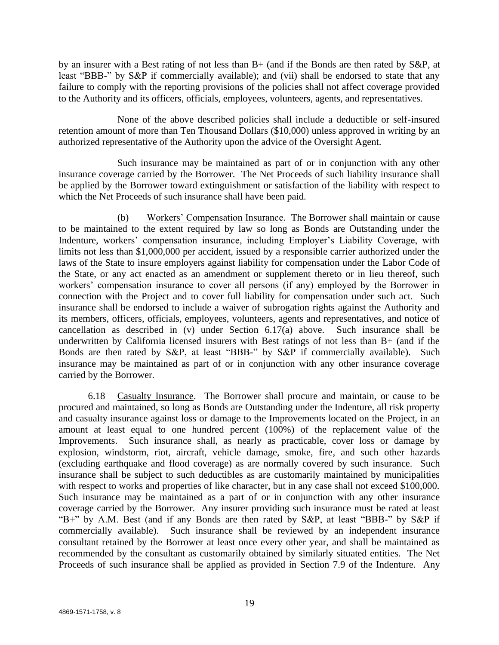by an insurer with a Best rating of not less than B+ (and if the Bonds are then rated by S&P, at least "BBB-" by S&P if commercially available); and (vii) shall be endorsed to state that any failure to comply with the reporting provisions of the policies shall not affect coverage provided to the Authority and its officers, officials, employees, volunteers, agents, and representatives.

None of the above described policies shall include a deductible or self-insured retention amount of more than Ten Thousand Dollars (\$10,000) unless approved in writing by an authorized representative of the Authority upon the advice of the Oversight Agent.

Such insurance may be maintained as part of or in conjunction with any other insurance coverage carried by the Borrower. The Net Proceeds of such liability insurance shall be applied by the Borrower toward extinguishment or satisfaction of the liability with respect to which the Net Proceeds of such insurance shall have been paid.

(b) Workers' Compensation Insurance. The Borrower shall maintain or cause to be maintained to the extent required by law so long as Bonds are Outstanding under the Indenture, workers' compensation insurance, including Employer's Liability Coverage, with limits not less than \$1,000,000 per accident, issued by a responsible carrier authorized under the laws of the State to insure employers against liability for compensation under the Labor Code of the State, or any act enacted as an amendment or supplement thereto or in lieu thereof, such workers' compensation insurance to cover all persons (if any) employed by the Borrower in connection with the Project and to cover full liability for compensation under such act. Such insurance shall be endorsed to include a waiver of subrogation rights against the Authority and its members, officers, officials, employees, volunteers, agents and representatives, and notice of cancellation as described in (v) under Section 6.17(a) above. Such insurance shall be underwritten by California licensed insurers with Best ratings of not less than B+ (and if the Bonds are then rated by S&P, at least "BBB-" by S&P if commercially available). Such insurance may be maintained as part of or in conjunction with any other insurance coverage carried by the Borrower.

6.18 Casualty Insurance. The Borrower shall procure and maintain, or cause to be procured and maintained, so long as Bonds are Outstanding under the Indenture, all risk property and casualty insurance against loss or damage to the Improvements located on the Project, in an amount at least equal to one hundred percent (100%) of the replacement value of the Improvements. Such insurance shall, as nearly as practicable, cover loss or damage by explosion, windstorm, riot, aircraft, vehicle damage, smoke, fire, and such other hazards (excluding earthquake and flood coverage) as are normally covered by such insurance. Such insurance shall be subject to such deductibles as are customarily maintained by municipalities with respect to works and properties of like character, but in any case shall not exceed \$100,000. Such insurance may be maintained as a part of or in conjunction with any other insurance coverage carried by the Borrower. Any insurer providing such insurance must be rated at least "B+" by A.M. Best (and if any Bonds are then rated by S&P, at least "BBB-" by S&P if commercially available). Such insurance shall be reviewed by an independent insurance consultant retained by the Borrower at least once every other year, and shall be maintained as recommended by the consultant as customarily obtained by similarly situated entities. The Net Proceeds of such insurance shall be applied as provided in Section 7.9 of the Indenture. Any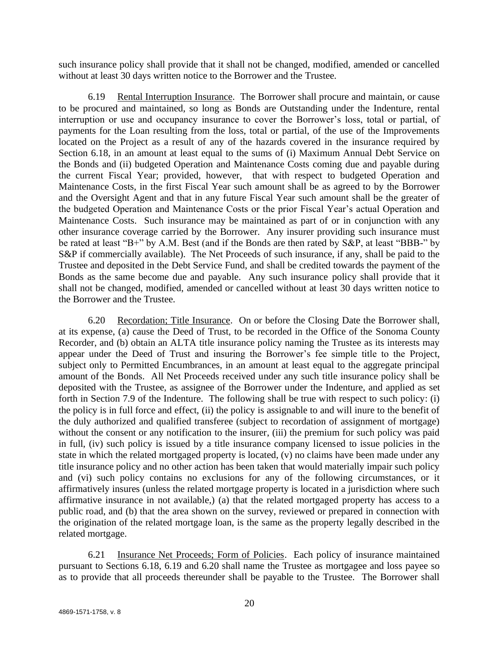such insurance policy shall provide that it shall not be changed, modified, amended or cancelled without at least 30 days written notice to the Borrower and the Trustee.

6.19 Rental Interruption Insurance. The Borrower shall procure and maintain, or cause to be procured and maintained, so long as Bonds are Outstanding under the Indenture, rental interruption or use and occupancy insurance to cover the Borrower's loss, total or partial, of payments for the Loan resulting from the loss, total or partial, of the use of the Improvements located on the Project as a result of any of the hazards covered in the insurance required by Section 6.18, in an amount at least equal to the sums of (i) Maximum Annual Debt Service on the Bonds and (ii) budgeted Operation and Maintenance Costs coming due and payable during the current Fiscal Year; provided, however, that with respect to budgeted Operation and Maintenance Costs, in the first Fiscal Year such amount shall be as agreed to by the Borrower and the Oversight Agent and that in any future Fiscal Year such amount shall be the greater of the budgeted Operation and Maintenance Costs or the prior Fiscal Year's actual Operation and Maintenance Costs. Such insurance may be maintained as part of or in conjunction with any other insurance coverage carried by the Borrower. Any insurer providing such insurance must be rated at least "B+" by A.M. Best (and if the Bonds are then rated by S&P, at least "BBB-" by S&P if commercially available). The Net Proceeds of such insurance, if any, shall be paid to the Trustee and deposited in the Debt Service Fund, and shall be credited towards the payment of the Bonds as the same become due and payable. Any such insurance policy shall provide that it shall not be changed, modified, amended or cancelled without at least 30 days written notice to the Borrower and the Trustee.

6.20 Recordation; Title Insurance. On or before the Closing Date the Borrower shall, at its expense, (a) cause the Deed of Trust, to be recorded in the Office of the Sonoma County Recorder, and (b) obtain an ALTA title insurance policy naming the Trustee as its interests may appear under the Deed of Trust and insuring the Borrower's fee simple title to the Project, subject only to Permitted Encumbrances, in an amount at least equal to the aggregate principal amount of the Bonds. All Net Proceeds received under any such title insurance policy shall be deposited with the Trustee, as assignee of the Borrower under the Indenture, and applied as set forth in Section 7.9 of the Indenture. The following shall be true with respect to such policy: (i) the policy is in full force and effect, (ii) the policy is assignable to and will inure to the benefit of the duly authorized and qualified transferee (subject to recordation of assignment of mortgage) without the consent or any notification to the insurer, (iii) the premium for such policy was paid in full, (iv) such policy is issued by a title insurance company licensed to issue policies in the state in which the related mortgaged property is located, (v) no claims have been made under any title insurance policy and no other action has been taken that would materially impair such policy and (vi) such policy contains no exclusions for any of the following circumstances, or it affirmatively insures (unless the related mortgage property is located in a jurisdiction where such affirmative insurance in not available,) (a) that the related mortgaged property has access to a public road, and (b) that the area shown on the survey, reviewed or prepared in connection with the origination of the related mortgage loan, is the same as the property legally described in the related mortgage.

6.21 Insurance Net Proceeds; Form of Policies. Each policy of insurance maintained pursuant to Sections 6.18, 6.19 and 6.20 shall name the Trustee as mortgagee and loss payee so as to provide that all proceeds thereunder shall be payable to the Trustee. The Borrower shall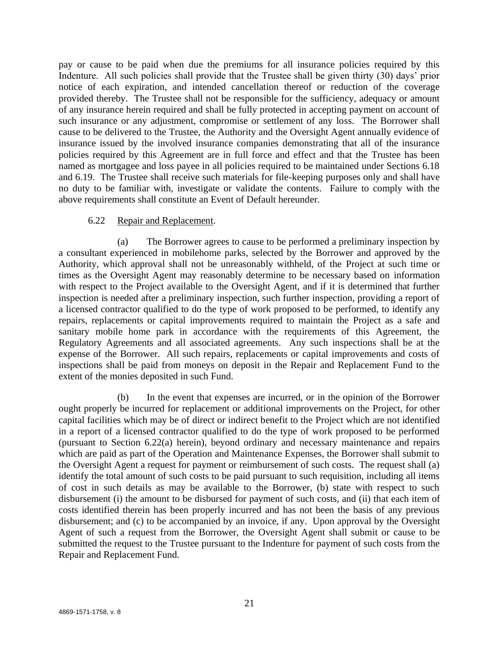pay or cause to be paid when due the premiums for all insurance policies required by this Indenture. All such policies shall provide that the Trustee shall be given thirty (30) days' prior notice of each expiration, and intended cancellation thereof or reduction of the coverage provided thereby. The Trustee shall not be responsible for the sufficiency, adequacy or amount of any insurance herein required and shall be fully protected in accepting payment on account of such insurance or any adjustment, compromise or settlement of any loss. The Borrower shall cause to be delivered to the Trustee, the Authority and the Oversight Agent annually evidence of insurance issued by the involved insurance companies demonstrating that all of the insurance policies required by this Agreement are in full force and effect and that the Trustee has been named as mortgagee and loss payee in all policies required to be maintained under Sections 6.18 and 6.19. The Trustee shall receive such materials for file-keeping purposes only and shall have no duty to be familiar with, investigate or validate the contents. Failure to comply with the above requirements shall constitute an Event of Default hereunder.

#### 6.22 Repair and Replacement.

(a) The Borrower agrees to cause to be performed a preliminary inspection by a consultant experienced in mobilehome parks, selected by the Borrower and approved by the Authority, which approval shall not be unreasonably withheld, of the Project at such time or times as the Oversight Agent may reasonably determine to be necessary based on information with respect to the Project available to the Oversight Agent, and if it is determined that further inspection is needed after a preliminary inspection, such further inspection, providing a report of a licensed contractor qualified to do the type of work proposed to be performed, to identify any repairs, replacements or capital improvements required to maintain the Project as a safe and sanitary mobile home park in accordance with the requirements of this Agreement, the Regulatory Agreements and all associated agreements. Any such inspections shall be at the expense of the Borrower. All such repairs, replacements or capital improvements and costs of inspections shall be paid from moneys on deposit in the Repair and Replacement Fund to the extent of the monies deposited in such Fund.

(b) In the event that expenses are incurred, or in the opinion of the Borrower ought properly be incurred for replacement or additional improvements on the Project, for other capital facilities which may be of direct or indirect benefit to the Project which are not identified in a report of a licensed contractor qualified to do the type of work proposed to be performed (pursuant to Section 6.22(a) herein), beyond ordinary and necessary maintenance and repairs which are paid as part of the Operation and Maintenance Expenses, the Borrower shall submit to the Oversight Agent a request for payment or reimbursement of such costs. The request shall (a) identify the total amount of such costs to be paid pursuant to such requisition, including all items of cost in such details as may be available to the Borrower, (b) state with respect to such disbursement (i) the amount to be disbursed for payment of such costs, and (ii) that each item of costs identified therein has been properly incurred and has not been the basis of any previous disbursement; and (c) to be accompanied by an invoice, if any. Upon approval by the Oversight Agent of such a request from the Borrower, the Oversight Agent shall submit or cause to be submitted the request to the Trustee pursuant to the Indenture for payment of such costs from the Repair and Replacement Fund.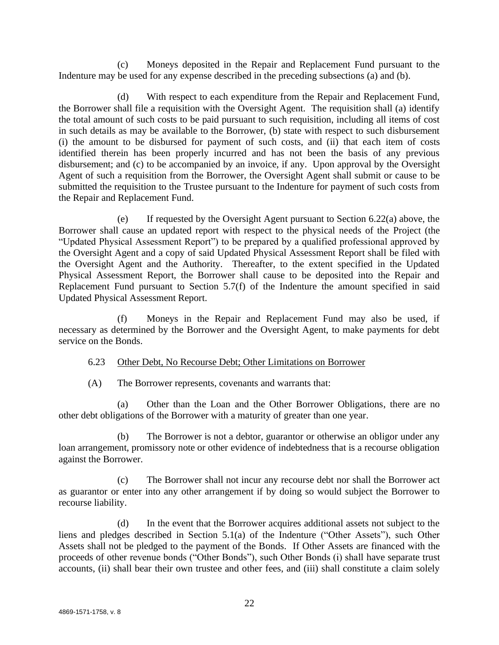(c) Moneys deposited in the Repair and Replacement Fund pursuant to the Indenture may be used for any expense described in the preceding subsections (a) and (b).

(d) With respect to each expenditure from the Repair and Replacement Fund, the Borrower shall file a requisition with the Oversight Agent. The requisition shall (a) identify the total amount of such costs to be paid pursuant to such requisition, including all items of cost in such details as may be available to the Borrower, (b) state with respect to such disbursement (i) the amount to be disbursed for payment of such costs, and (ii) that each item of costs identified therein has been properly incurred and has not been the basis of any previous disbursement; and (c) to be accompanied by an invoice, if any. Upon approval by the Oversight Agent of such a requisition from the Borrower, the Oversight Agent shall submit or cause to be submitted the requisition to the Trustee pursuant to the Indenture for payment of such costs from the Repair and Replacement Fund.

(e) If requested by the Oversight Agent pursuant to Section 6.22(a) above, the Borrower shall cause an updated report with respect to the physical needs of the Project (the "Updated Physical Assessment Report") to be prepared by a qualified professional approved by the Oversight Agent and a copy of said Updated Physical Assessment Report shall be filed with the Oversight Agent and the Authority. Thereafter, to the extent specified in the Updated Physical Assessment Report, the Borrower shall cause to be deposited into the Repair and Replacement Fund pursuant to Section 5.7(f) of the Indenture the amount specified in said Updated Physical Assessment Report.

(f) Moneys in the Repair and Replacement Fund may also be used, if necessary as determined by the Borrower and the Oversight Agent, to make payments for debt service on the Bonds.

#### 6.23 Other Debt, No Recourse Debt; Other Limitations on Borrower

(A) The Borrower represents, covenants and warrants that:

(a) Other than the Loan and the Other Borrower Obligations, there are no other debt obligations of the Borrower with a maturity of greater than one year.

(b) The Borrower is not a debtor, guarantor or otherwise an obligor under any loan arrangement, promissory note or other evidence of indebtedness that is a recourse obligation against the Borrower.

(c) The Borrower shall not incur any recourse debt nor shall the Borrower act as guarantor or enter into any other arrangement if by doing so would subject the Borrower to recourse liability.

(d) In the event that the Borrower acquires additional assets not subject to the liens and pledges described in Section 5.1(a) of the Indenture ("Other Assets"), such Other Assets shall not be pledged to the payment of the Bonds. If Other Assets are financed with the proceeds of other revenue bonds ("Other Bonds"), such Other Bonds (i) shall have separate trust accounts, (ii) shall bear their own trustee and other fees, and (iii) shall constitute a claim solely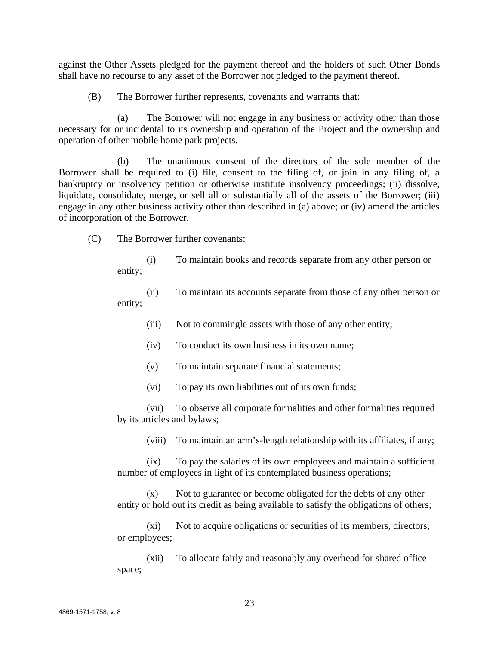against the Other Assets pledged for the payment thereof and the holders of such Other Bonds shall have no recourse to any asset of the Borrower not pledged to the payment thereof.

(B) The Borrower further represents, covenants and warrants that:

(a) The Borrower will not engage in any business or activity other than those necessary for or incidental to its ownership and operation of the Project and the ownership and operation of other mobile home park projects.

(b) The unanimous consent of the directors of the sole member of the Borrower shall be required to (i) file, consent to the filing of, or join in any filing of, a bankruptcy or insolvency petition or otherwise institute insolvency proceedings; (ii) dissolve, liquidate, consolidate, merge, or sell all or substantially all of the assets of the Borrower; (iii) engage in any other business activity other than described in (a) above; or (iv) amend the articles of incorporation of the Borrower.

(C) The Borrower further covenants:

(i) To maintain books and records separate from any other person or entity;

(ii) To maintain its accounts separate from those of any other person or entity;

(iii) Not to commingle assets with those of any other entity;

- (iv) To conduct its own business in its own name;
- (v) To maintain separate financial statements;
- (vi) To pay its own liabilities out of its own funds;

(vii) To observe all corporate formalities and other formalities required by its articles and bylaws;

(viii) To maintain an arm's-length relationship with its affiliates, if any;

(ix) To pay the salaries of its own employees and maintain a sufficient number of employees in light of its contemplated business operations;

(x) Not to guarantee or become obligated for the debts of any other entity or hold out its credit as being available to satisfy the obligations of others;

(xi) Not to acquire obligations or securities of its members, directors, or employees;

(xii) To allocate fairly and reasonably any overhead for shared office space;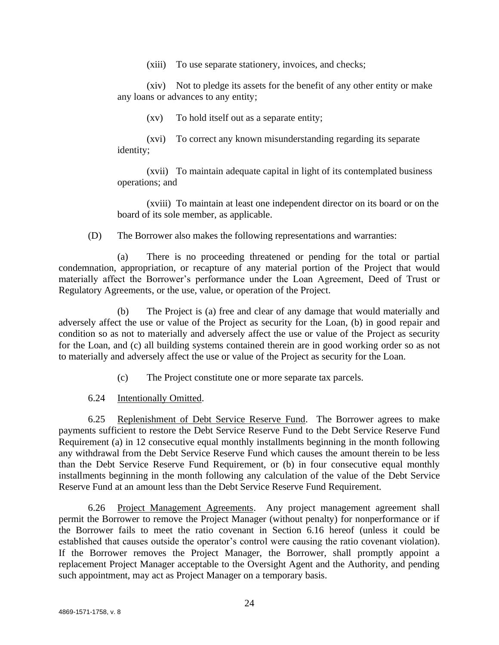(xiii) To use separate stationery, invoices, and checks;

(xiv) Not to pledge its assets for the benefit of any other entity or make any loans or advances to any entity;

(xv) To hold itself out as a separate entity;

(xvi) To correct any known misunderstanding regarding its separate identity;

(xvii) To maintain adequate capital in light of its contemplated business operations; and

(xviii) To maintain at least one independent director on its board or on the board of its sole member, as applicable.

(D) The Borrower also makes the following representations and warranties:

(a) There is no proceeding threatened or pending for the total or partial condemnation, appropriation, or recapture of any material portion of the Project that would materially affect the Borrower's performance under the Loan Agreement, Deed of Trust or Regulatory Agreements, or the use, value, or operation of the Project.

(b) The Project is (a) free and clear of any damage that would materially and adversely affect the use or value of the Project as security for the Loan, (b) in good repair and condition so as not to materially and adversely affect the use or value of the Project as security for the Loan, and (c) all building systems contained therein are in good working order so as not to materially and adversely affect the use or value of the Project as security for the Loan.

(c) The Project constitute one or more separate tax parcels.

6.24 Intentionally Omitted.

6.25 Replenishment of Debt Service Reserve Fund. The Borrower agrees to make payments sufficient to restore the Debt Service Reserve Fund to the Debt Service Reserve Fund Requirement (a) in 12 consecutive equal monthly installments beginning in the month following any withdrawal from the Debt Service Reserve Fund which causes the amount therein to be less than the Debt Service Reserve Fund Requirement, or (b) in four consecutive equal monthly installments beginning in the month following any calculation of the value of the Debt Service Reserve Fund at an amount less than the Debt Service Reserve Fund Requirement.

6.26 Project Management Agreements. Any project management agreement shall permit the Borrower to remove the Project Manager (without penalty) for nonperformance or if the Borrower fails to meet the ratio covenant in Section 6.16 hereof (unless it could be established that causes outside the operator's control were causing the ratio covenant violation). If the Borrower removes the Project Manager, the Borrower, shall promptly appoint a replacement Project Manager acceptable to the Oversight Agent and the Authority, and pending such appointment, may act as Project Manager on a temporary basis.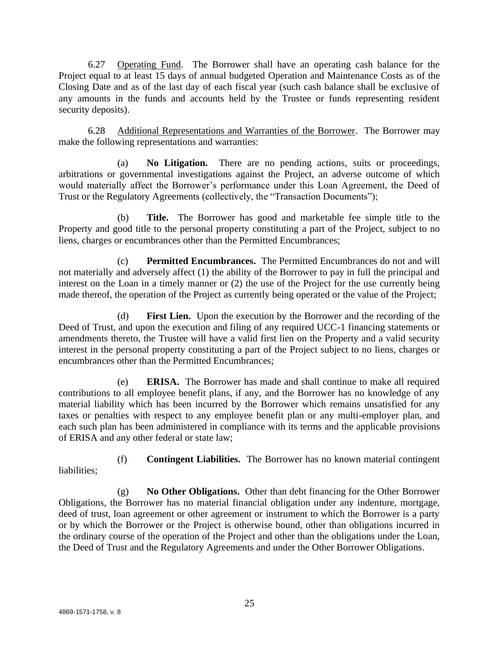6.27 Operating Fund. The Borrower shall have an operating cash balance for the Project equal to at least 15 days of annual budgeted Operation and Maintenance Costs as of the Closing Date and as of the last day of each fiscal year (such cash balance shall be exclusive of any amounts in the funds and accounts held by the Trustee or funds representing resident security deposits).

6.28 Additional Representations and Warranties of the Borrower. The Borrower may make the following representations and warranties:

(a) **No Litigation.** There are no pending actions, suits or proceedings, arbitrations or governmental investigations against the Project, an adverse outcome of which would materially affect the Borrower's performance under this Loan Agreement, the Deed of Trust or the Regulatory Agreements (collectively, the "Transaction Documents");

(b) **Title.** The Borrower has good and marketable fee simple title to the Property and good title to the personal property constituting a part of the Project, subject to no liens, charges or encumbrances other than the Permitted Encumbrances;

(c) **Permitted Encumbrances.** The Permitted Encumbrances do not and will not materially and adversely affect (1) the ability of the Borrower to pay in full the principal and interest on the Loan in a timely manner or (2) the use of the Project for the use currently being made thereof, the operation of the Project as currently being operated or the value of the Project;

(d) **First Lien.** Upon the execution by the Borrower and the recording of the Deed of Trust, and upon the execution and filing of any required UCC-1 financing statements or amendments thereto, the Trustee will have a valid first lien on the Property and a valid security interest in the personal property constituting a part of the Project subject to no liens, charges or encumbrances other than the Permitted Encumbrances;

(e) **ERISA.** The Borrower has made and shall continue to make all required contributions to all employee benefit plans, if any, and the Borrower has no knowledge of any material liability which has been incurred by the Borrower which remains unsatisfied for any taxes or penalties with respect to any employee benefit plan or any multi-employer plan, and each such plan has been administered in compliance with its terms and the applicable provisions of ERISA and any other federal or state law;

(f) **Contingent Liabilities.** The Borrower has no known material contingent liabilities;

(g) **No Other Obligations.** Other than debt financing for the Other Borrower Obligations, the Borrower has no material financial obligation under any indenture, mortgage, deed of trust, loan agreement or other agreement or instrument to which the Borrower is a party or by which the Borrower or the Project is otherwise bound, other than obligations incurred in the ordinary course of the operation of the Project and other than the obligations under the Loan, the Deed of Trust and the Regulatory Agreements and under the Other Borrower Obligations.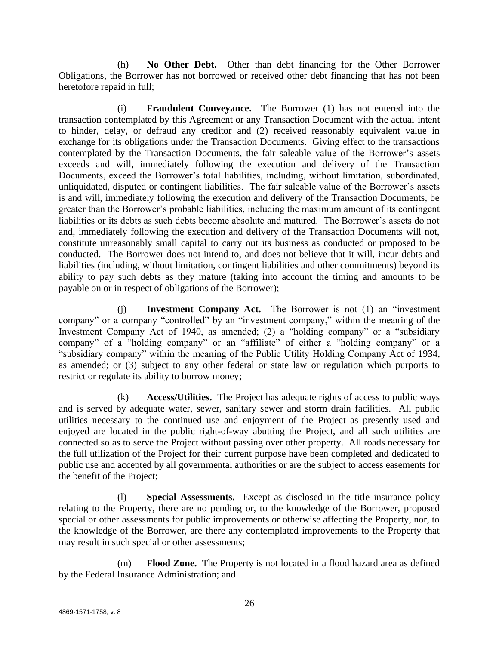(h) **No Other Debt.** Other than debt financing for the Other Borrower Obligations, the Borrower has not borrowed or received other debt financing that has not been heretofore repaid in full;

(i) **Fraudulent Conveyance.** The Borrower (1) has not entered into the transaction contemplated by this Agreement or any Transaction Document with the actual intent to hinder, delay, or defraud any creditor and (2) received reasonably equivalent value in exchange for its obligations under the Transaction Documents. Giving effect to the transactions contemplated by the Transaction Documents, the fair saleable value of the Borrower's assets exceeds and will, immediately following the execution and delivery of the Transaction Documents, exceed the Borrower's total liabilities, including, without limitation, subordinated, unliquidated, disputed or contingent liabilities. The fair saleable value of the Borrower's assets is and will, immediately following the execution and delivery of the Transaction Documents, be greater than the Borrower's probable liabilities, including the maximum amount of its contingent liabilities or its debts as such debts become absolute and matured. The Borrower's assets do not and, immediately following the execution and delivery of the Transaction Documents will not, constitute unreasonably small capital to carry out its business as conducted or proposed to be conducted. The Borrower does not intend to, and does not believe that it will, incur debts and liabilities (including, without limitation, contingent liabilities and other commitments) beyond its ability to pay such debts as they mature (taking into account the timing and amounts to be payable on or in respect of obligations of the Borrower);

(j) **Investment Company Act.** The Borrower is not (1) an "investment company" or a company "controlled" by an "investment company," within the meaning of the Investment Company Act of 1940, as amended; (2) a "holding company" or a "subsidiary company" of a "holding company" or an "affiliate" of either a "holding company" or a "subsidiary company" within the meaning of the Public Utility Holding Company Act of 1934, as amended; or (3) subject to any other federal or state law or regulation which purports to restrict or regulate its ability to borrow money;

(k) **Access/Utilities.** The Project has adequate rights of access to public ways and is served by adequate water, sewer, sanitary sewer and storm drain facilities. All public utilities necessary to the continued use and enjoyment of the Project as presently used and enjoyed are located in the public right-of-way abutting the Project, and all such utilities are connected so as to serve the Project without passing over other property. All roads necessary for the full utilization of the Project for their current purpose have been completed and dedicated to public use and accepted by all governmental authorities or are the subject to access easements for the benefit of the Project;

(l) **Special Assessments.** Except as disclosed in the title insurance policy relating to the Property, there are no pending or, to the knowledge of the Borrower, proposed special or other assessments for public improvements or otherwise affecting the Property, nor, to the knowledge of the Borrower, are there any contemplated improvements to the Property that may result in such special or other assessments;

(m) **Flood Zone.** The Property is not located in a flood hazard area as defined by the Federal Insurance Administration; and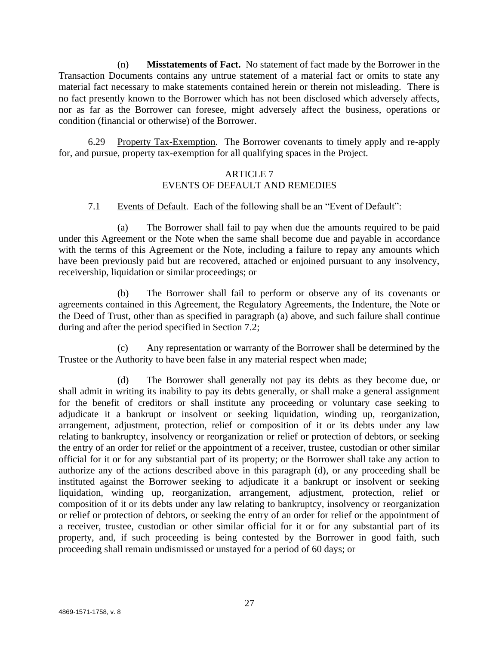(n) **Misstatements of Fact.** No statement of fact made by the Borrower in the Transaction Documents contains any untrue statement of a material fact or omits to state any material fact necessary to make statements contained herein or therein not misleading. There is no fact presently known to the Borrower which has not been disclosed which adversely affects, nor as far as the Borrower can foresee, might adversely affect the business, operations or condition (financial or otherwise) of the Borrower.

6.29 Property Tax-Exemption. The Borrower covenants to timely apply and re-apply for, and pursue, property tax-exemption for all qualifying spaces in the Project.

#### ARTICLE 7 EVENTS OF DEFAULT AND REMEDIES

7.1 Events of Default. Each of the following shall be an "Event of Default":

(a) The Borrower shall fail to pay when due the amounts required to be paid under this Agreement or the Note when the same shall become due and payable in accordance with the terms of this Agreement or the Note, including a failure to repay any amounts which have been previously paid but are recovered, attached or enjoined pursuant to any insolvency, receivership, liquidation or similar proceedings; or

(b) The Borrower shall fail to perform or observe any of its covenants or agreements contained in this Agreement, the Regulatory Agreements, the Indenture, the Note or the Deed of Trust, other than as specified in paragraph (a) above, and such failure shall continue during and after the period specified in Section 7.2;

(c) Any representation or warranty of the Borrower shall be determined by the Trustee or the Authority to have been false in any material respect when made;

(d) The Borrower shall generally not pay its debts as they become due, or shall admit in writing its inability to pay its debts generally, or shall make a general assignment for the benefit of creditors or shall institute any proceeding or voluntary case seeking to adjudicate it a bankrupt or insolvent or seeking liquidation, winding up, reorganization, arrangement, adjustment, protection, relief or composition of it or its debts under any law relating to bankruptcy, insolvency or reorganization or relief or protection of debtors, or seeking the entry of an order for relief or the appointment of a receiver, trustee, custodian or other similar official for it or for any substantial part of its property; or the Borrower shall take any action to authorize any of the actions described above in this paragraph (d), or any proceeding shall be instituted against the Borrower seeking to adjudicate it a bankrupt or insolvent or seeking liquidation, winding up, reorganization, arrangement, adjustment, protection, relief or composition of it or its debts under any law relating to bankruptcy, insolvency or reorganization or relief or protection of debtors, or seeking the entry of an order for relief or the appointment of a receiver, trustee, custodian or other similar official for it or for any substantial part of its property, and, if such proceeding is being contested by the Borrower in good faith, such proceeding shall remain undismissed or unstayed for a period of 60 days; or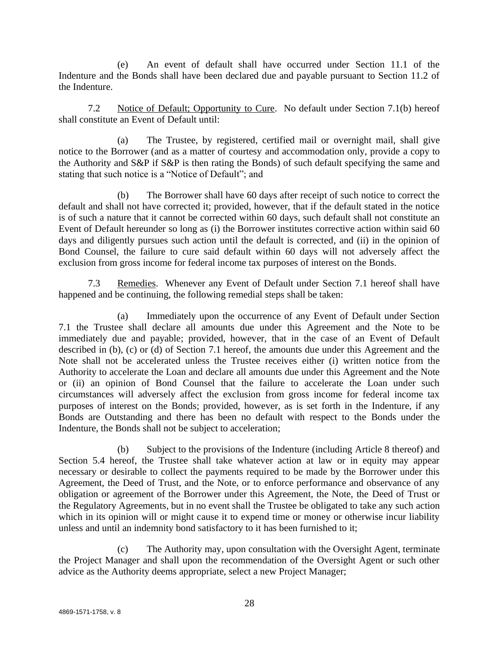(e) An event of default shall have occurred under Section 11.1 of the Indenture and the Bonds shall have been declared due and payable pursuant to Section 11.2 of the Indenture.

7.2 Notice of Default; Opportunity to Cure. No default under Section 7.1(b) hereof shall constitute an Event of Default until:

(a) The Trustee, by registered, certified mail or overnight mail, shall give notice to the Borrower (and as a matter of courtesy and accommodation only, provide a copy to the Authority and S&P if S&P is then rating the Bonds) of such default specifying the same and stating that such notice is a "Notice of Default"; and

(b) The Borrower shall have 60 days after receipt of such notice to correct the default and shall not have corrected it; provided, however, that if the default stated in the notice is of such a nature that it cannot be corrected within 60 days, such default shall not constitute an Event of Default hereunder so long as (i) the Borrower institutes corrective action within said 60 days and diligently pursues such action until the default is corrected, and (ii) in the opinion of Bond Counsel, the failure to cure said default within 60 days will not adversely affect the exclusion from gross income for federal income tax purposes of interest on the Bonds.

7.3 Remedies. Whenever any Event of Default under Section 7.1 hereof shall have happened and be continuing, the following remedial steps shall be taken:

(a) Immediately upon the occurrence of any Event of Default under Section 7.1 the Trustee shall declare all amounts due under this Agreement and the Note to be immediately due and payable; provided, however, that in the case of an Event of Default described in (b), (c) or (d) of Section 7.1 hereof, the amounts due under this Agreement and the Note shall not be accelerated unless the Trustee receives either (i) written notice from the Authority to accelerate the Loan and declare all amounts due under this Agreement and the Note or (ii) an opinion of Bond Counsel that the failure to accelerate the Loan under such circumstances will adversely affect the exclusion from gross income for federal income tax purposes of interest on the Bonds; provided, however, as is set forth in the Indenture, if any Bonds are Outstanding and there has been no default with respect to the Bonds under the Indenture, the Bonds shall not be subject to acceleration;

(b) Subject to the provisions of the Indenture (including Article 8 thereof) and Section 5.4 hereof, the Trustee shall take whatever action at law or in equity may appear necessary or desirable to collect the payments required to be made by the Borrower under this Agreement, the Deed of Trust, and the Note, or to enforce performance and observance of any obligation or agreement of the Borrower under this Agreement, the Note, the Deed of Trust or the Regulatory Agreements, but in no event shall the Trustee be obligated to take any such action which in its opinion will or might cause it to expend time or money or otherwise incur liability unless and until an indemnity bond satisfactory to it has been furnished to it;

(c) The Authority may, upon consultation with the Oversight Agent, terminate the Project Manager and shall upon the recommendation of the Oversight Agent or such other advice as the Authority deems appropriate, select a new Project Manager;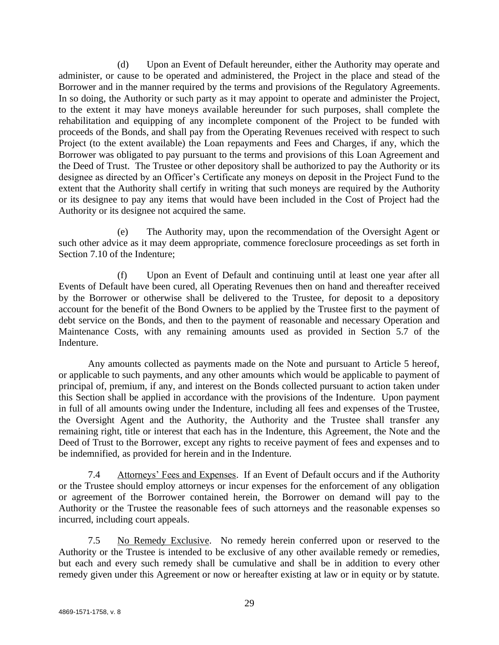(d) Upon an Event of Default hereunder, either the Authority may operate and administer, or cause to be operated and administered, the Project in the place and stead of the Borrower and in the manner required by the terms and provisions of the Regulatory Agreements. In so doing, the Authority or such party as it may appoint to operate and administer the Project, to the extent it may have moneys available hereunder for such purposes, shall complete the rehabilitation and equipping of any incomplete component of the Project to be funded with proceeds of the Bonds, and shall pay from the Operating Revenues received with respect to such Project (to the extent available) the Loan repayments and Fees and Charges, if any, which the Borrower was obligated to pay pursuant to the terms and provisions of this Loan Agreement and the Deed of Trust. The Trustee or other depository shall be authorized to pay the Authority or its designee as directed by an Officer's Certificate any moneys on deposit in the Project Fund to the extent that the Authority shall certify in writing that such moneys are required by the Authority or its designee to pay any items that would have been included in the Cost of Project had the Authority or its designee not acquired the same.

(e) The Authority may, upon the recommendation of the Oversight Agent or such other advice as it may deem appropriate, commence foreclosure proceedings as set forth in Section 7.10 of the Indenture;

(f) Upon an Event of Default and continuing until at least one year after all Events of Default have been cured, all Operating Revenues then on hand and thereafter received by the Borrower or otherwise shall be delivered to the Trustee, for deposit to a depository account for the benefit of the Bond Owners to be applied by the Trustee first to the payment of debt service on the Bonds, and then to the payment of reasonable and necessary Operation and Maintenance Costs, with any remaining amounts used as provided in Section 5.7 of the Indenture.

Any amounts collected as payments made on the Note and pursuant to Article 5 hereof, or applicable to such payments, and any other amounts which would be applicable to payment of principal of, premium, if any, and interest on the Bonds collected pursuant to action taken under this Section shall be applied in accordance with the provisions of the Indenture. Upon payment in full of all amounts owing under the Indenture, including all fees and expenses of the Trustee, the Oversight Agent and the Authority, the Authority and the Trustee shall transfer any remaining right, title or interest that each has in the Indenture, this Agreement, the Note and the Deed of Trust to the Borrower, except any rights to receive payment of fees and expenses and to be indemnified, as provided for herein and in the Indenture.

7.4 Attorneys' Fees and Expenses. If an Event of Default occurs and if the Authority or the Trustee should employ attorneys or incur expenses for the enforcement of any obligation or agreement of the Borrower contained herein, the Borrower on demand will pay to the Authority or the Trustee the reasonable fees of such attorneys and the reasonable expenses so incurred, including court appeals.

7.5 No Remedy Exclusive. No remedy herein conferred upon or reserved to the Authority or the Trustee is intended to be exclusive of any other available remedy or remedies, but each and every such remedy shall be cumulative and shall be in addition to every other remedy given under this Agreement or now or hereafter existing at law or in equity or by statute.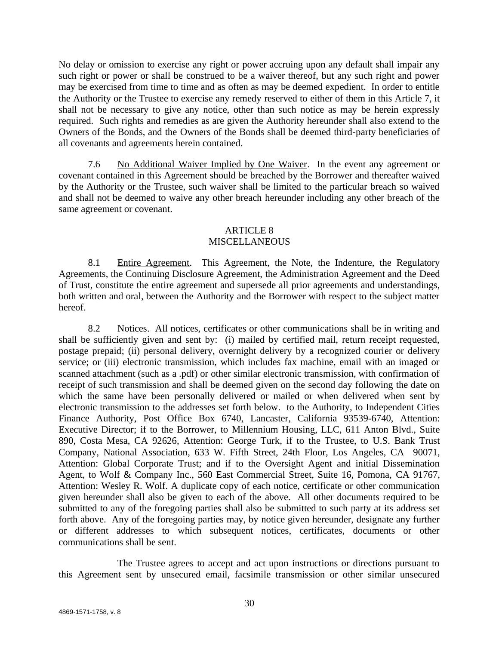No delay or omission to exercise any right or power accruing upon any default shall impair any such right or power or shall be construed to be a waiver thereof, but any such right and power may be exercised from time to time and as often as may be deemed expedient. In order to entitle the Authority or the Trustee to exercise any remedy reserved to either of them in this Article 7, it shall not be necessary to give any notice, other than such notice as may be herein expressly required. Such rights and remedies as are given the Authority hereunder shall also extend to the Owners of the Bonds, and the Owners of the Bonds shall be deemed third-party beneficiaries of all covenants and agreements herein contained.

7.6 No Additional Waiver Implied by One Waiver. In the event any agreement or covenant contained in this Agreement should be breached by the Borrower and thereafter waived by the Authority or the Trustee, such waiver shall be limited to the particular breach so waived and shall not be deemed to waive any other breach hereunder including any other breach of the same agreement or covenant.

#### ARTICLE 8

### MISCELLANEOUS

8.1 Entire Agreement. This Agreement, the Note, the Indenture, the Regulatory Agreements, the Continuing Disclosure Agreement, the Administration Agreement and the Deed of Trust, constitute the entire agreement and supersede all prior agreements and understandings, both written and oral, between the Authority and the Borrower with respect to the subject matter hereof.

8.2 Notices. All notices, certificates or other communications shall be in writing and shall be sufficiently given and sent by: (i) mailed by certified mail, return receipt requested, postage prepaid; (ii) personal delivery, overnight delivery by a recognized courier or delivery service; or (iii) electronic transmission, which includes fax machine, email with an imaged or scanned attachment (such as a .pdf) or other similar electronic transmission, with confirmation of receipt of such transmission and shall be deemed given on the second day following the date on which the same have been personally delivered or mailed or when delivered when sent by electronic transmission to the addresses set forth below. to the Authority, to Independent Cities Finance Authority, Post Office Box 6740, Lancaster, California 93539-6740, Attention: Executive Director; if to the Borrower, to Millennium Housing, LLC, 611 Anton Blvd., Suite 890, Costa Mesa, CA 92626, Attention: George Turk, if to the Trustee, to U.S. Bank Trust Company, National Association, 633 W. Fifth Street, 24th Floor, Los Angeles, CA 90071, Attention: Global Corporate Trust; and if to the Oversight Agent and initial Dissemination Agent, to Wolf & Company Inc., 560 East Commercial Street, Suite 16, Pomona, CA 91767, Attention: Wesley R. Wolf. A duplicate copy of each notice, certificate or other communication given hereunder shall also be given to each of the above. All other documents required to be submitted to any of the foregoing parties shall also be submitted to such party at its address set forth above. Any of the foregoing parties may, by notice given hereunder, designate any further or different addresses to which subsequent notices, certificates, documents or other communications shall be sent.

The Trustee agrees to accept and act upon instructions or directions pursuant to this Agreement sent by unsecured email, facsimile transmission or other similar unsecured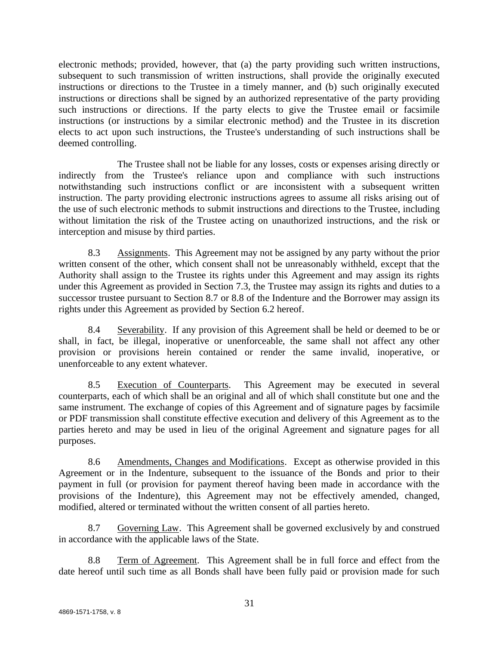electronic methods; provided, however, that (a) the party providing such written instructions, subsequent to such transmission of written instructions, shall provide the originally executed instructions or directions to the Trustee in a timely manner, and (b) such originally executed instructions or directions shall be signed by an authorized representative of the party providing such instructions or directions. If the party elects to give the Trustee email or facsimile instructions (or instructions by a similar electronic method) and the Trustee in its discretion elects to act upon such instructions, the Trustee's understanding of such instructions shall be deemed controlling.

The Trustee shall not be liable for any losses, costs or expenses arising directly or indirectly from the Trustee's reliance upon and compliance with such instructions notwithstanding such instructions conflict or are inconsistent with a subsequent written instruction. The party providing electronic instructions agrees to assume all risks arising out of the use of such electronic methods to submit instructions and directions to the Trustee, including without limitation the risk of the Trustee acting on unauthorized instructions, and the risk or interception and misuse by third parties.

8.3 Assignments. This Agreement may not be assigned by any party without the prior written consent of the other, which consent shall not be unreasonably withheld, except that the Authority shall assign to the Trustee its rights under this Agreement and may assign its rights under this Agreement as provided in Section 7.3, the Trustee may assign its rights and duties to a successor trustee pursuant to Section 8.7 or 8.8 of the Indenture and the Borrower may assign its rights under this Agreement as provided by Section 6.2 hereof.

8.4 Severability. If any provision of this Agreement shall be held or deemed to be or shall, in fact, be illegal, inoperative or unenforceable, the same shall not affect any other provision or provisions herein contained or render the same invalid, inoperative, or unenforceable to any extent whatever.

8.5 Execution of Counterparts. This Agreement may be executed in several counterparts, each of which shall be an original and all of which shall constitute but one and the same instrument. The exchange of copies of this Agreement and of signature pages by facsimile or PDF transmission shall constitute effective execution and delivery of this Agreement as to the parties hereto and may be used in lieu of the original Agreement and signature pages for all purposes.

8.6 Amendments, Changes and Modifications. Except as otherwise provided in this Agreement or in the Indenture, subsequent to the issuance of the Bonds and prior to their payment in full (or provision for payment thereof having been made in accordance with the provisions of the Indenture), this Agreement may not be effectively amended, changed, modified, altered or terminated without the written consent of all parties hereto.

8.7 Governing Law. This Agreement shall be governed exclusively by and construed in accordance with the applicable laws of the State.

8.8 Term of Agreement. This Agreement shall be in full force and effect from the date hereof until such time as all Bonds shall have been fully paid or provision made for such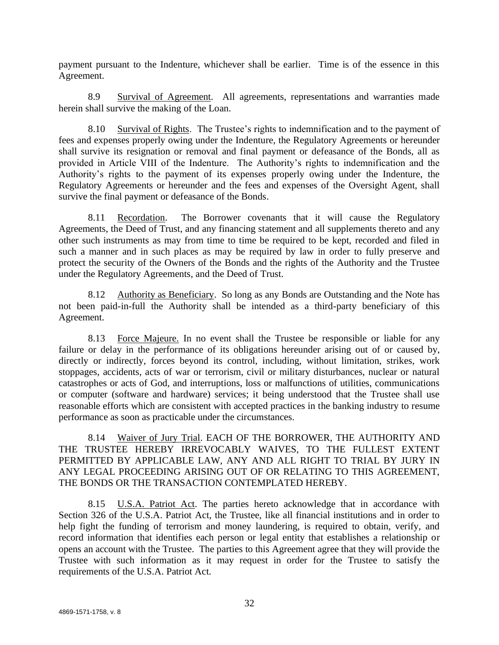payment pursuant to the Indenture, whichever shall be earlier. Time is of the essence in this Agreement.

8.9 Survival of Agreement. All agreements, representations and warranties made herein shall survive the making of the Loan.

8.10 Survival of Rights. The Trustee's rights to indemnification and to the payment of fees and expenses properly owing under the Indenture, the Regulatory Agreements or hereunder shall survive its resignation or removal and final payment or defeasance of the Bonds, all as provided in Article VIII of the Indenture. The Authority's rights to indemnification and the Authority's rights to the payment of its expenses properly owing under the Indenture, the Regulatory Agreements or hereunder and the fees and expenses of the Oversight Agent, shall survive the final payment or defeasance of the Bonds.

8.11 Recordation. The Borrower covenants that it will cause the Regulatory Agreements, the Deed of Trust, and any financing statement and all supplements thereto and any other such instruments as may from time to time be required to be kept, recorded and filed in such a manner and in such places as may be required by law in order to fully preserve and protect the security of the Owners of the Bonds and the rights of the Authority and the Trustee under the Regulatory Agreements, and the Deed of Trust.

8.12 Authority as Beneficiary. So long as any Bonds are Outstanding and the Note has not been paid-in-full the Authority shall be intended as a third-party beneficiary of this Agreement.

8.13 Force Majeure. In no event shall the Trustee be responsible or liable for any failure or delay in the performance of its obligations hereunder arising out of or caused by, directly or indirectly, forces beyond its control, including, without limitation, strikes, work stoppages, accidents, acts of war or terrorism, civil or military disturbances, nuclear or natural catastrophes or acts of God, and interruptions, loss or malfunctions of utilities, communications or computer (software and hardware) services; it being understood that the Trustee shall use reasonable efforts which are consistent with accepted practices in the banking industry to resume performance as soon as practicable under the circumstances.

8.14 Waiver of Jury Trial. EACH OF THE BORROWER, THE AUTHORITY AND THE TRUSTEE HEREBY IRREVOCABLY WAIVES, TO THE FULLEST EXTENT PERMITTED BY APPLICABLE LAW, ANY AND ALL RIGHT TO TRIAL BY JURY IN ANY LEGAL PROCEEDING ARISING OUT OF OR RELATING TO THIS AGREEMENT, THE BONDS OR THE TRANSACTION CONTEMPLATED HEREBY.

8.15 U.S.A. Patriot Act. The parties hereto acknowledge that in accordance with Section 326 of the U.S.A. Patriot Act, the Trustee, like all financial institutions and in order to help fight the funding of terrorism and money laundering, is required to obtain, verify, and record information that identifies each person or legal entity that establishes a relationship or opens an account with the Trustee. The parties to this Agreement agree that they will provide the Trustee with such information as it may request in order for the Trustee to satisfy the requirements of the U.S.A. Patriot Act.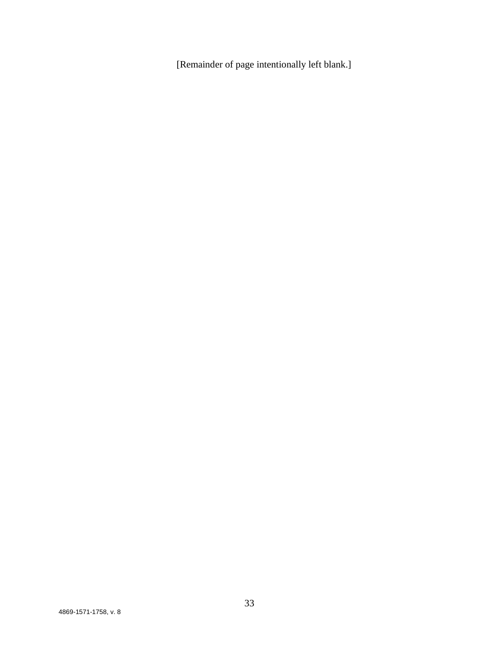[Remainder of page intentionally left blank.]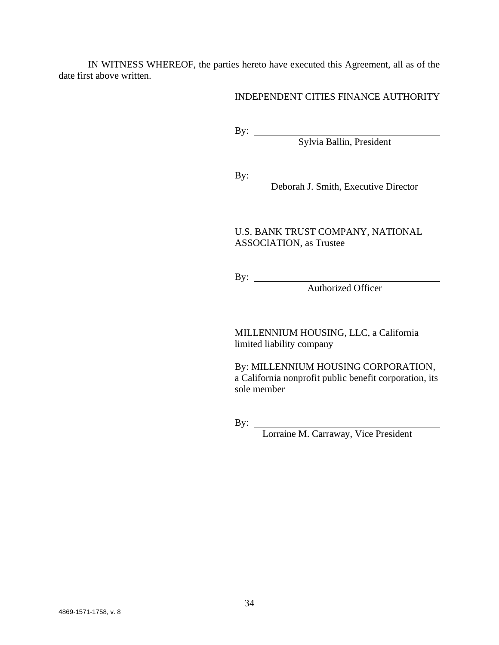IN WITNESS WHEREOF, the parties hereto have executed this Agreement, all as of the date first above written.

### INDEPENDENT CITIES FINANCE AUTHORITY

By:

Sylvia Ballin, President

By:

Deborah J. Smith, Executive Director

U.S. BANK TRUST COMPANY, NATIONAL ASSOCIATION, as Trustee

By:

Authorized Officer

MILLENNIUM HOUSING, LLC, a California limited liability company

By: MILLENNIUM HOUSING CORPORATION, a California nonprofit public benefit corporation, its sole member

By:

Lorraine M. Carraway, Vice President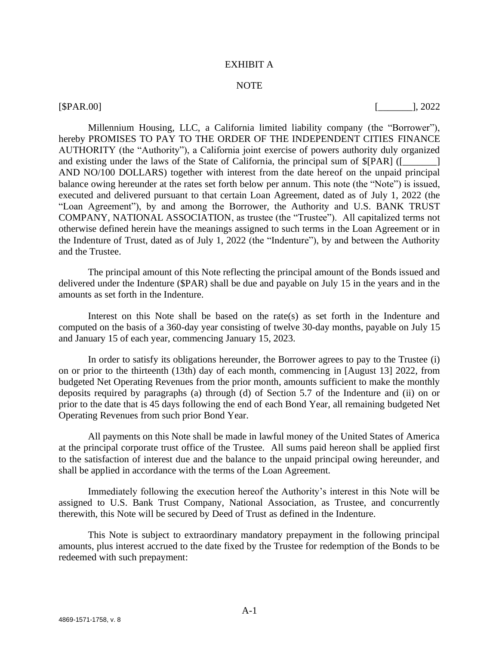#### EXHIBIT A

#### **NOTE**

 $[SPAR.00]$   $[$   $]$ 

Millennium Housing, LLC, a California limited liability company (the "Borrower"), hereby PROMISES TO PAY TO THE ORDER OF THE INDEPENDENT CITIES FINANCE AUTHORITY (the "Authority"), a California joint exercise of powers authority duly organized and existing under the laws of the State of California, the principal sum of  $\{PRAR\}$  ([\_\_\_\_\_\_] AND NO/100 DOLLARS) together with interest from the date hereof on the unpaid principal balance owing hereunder at the rates set forth below per annum. This note (the "Note") is issued, executed and delivered pursuant to that certain Loan Agreement, dated as of July 1, 2022 (the "Loan Agreement"), by and among the Borrower, the Authority and U.S. BANK TRUST COMPANY, NATIONAL ASSOCIATION, as trustee (the "Trustee"). All capitalized terms not otherwise defined herein have the meanings assigned to such terms in the Loan Agreement or in the Indenture of Trust, dated as of July 1, 2022 (the "Indenture"), by and between the Authority and the Trustee.

The principal amount of this Note reflecting the principal amount of the Bonds issued and delivered under the Indenture (\$PAR) shall be due and payable on July 15 in the years and in the amounts as set forth in the Indenture.

Interest on this Note shall be based on the rate(s) as set forth in the Indenture and computed on the basis of a 360-day year consisting of twelve 30-day months, payable on July 15 and January 15 of each year, commencing January 15, 2023.

In order to satisfy its obligations hereunder, the Borrower agrees to pay to the Trustee (i) on or prior to the thirteenth (13th) day of each month, commencing in [August 13] 2022, from budgeted Net Operating Revenues from the prior month, amounts sufficient to make the monthly deposits required by paragraphs (a) through (d) of Section 5.7 of the Indenture and (ii) on or prior to the date that is 45 days following the end of each Bond Year, all remaining budgeted Net Operating Revenues from such prior Bond Year.

All payments on this Note shall be made in lawful money of the United States of America at the principal corporate trust office of the Trustee. All sums paid hereon shall be applied first to the satisfaction of interest due and the balance to the unpaid principal owing hereunder, and shall be applied in accordance with the terms of the Loan Agreement.

Immediately following the execution hereof the Authority's interest in this Note will be assigned to U.S. Bank Trust Company, National Association, as Trustee, and concurrently therewith, this Note will be secured by Deed of Trust as defined in the Indenture.

This Note is subject to extraordinary mandatory prepayment in the following principal amounts, plus interest accrued to the date fixed by the Trustee for redemption of the Bonds to be redeemed with such prepayment: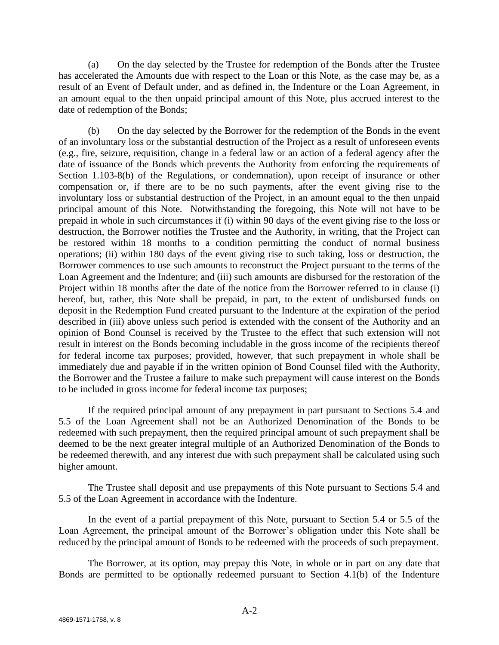(a) On the day selected by the Trustee for redemption of the Bonds after the Trustee has accelerated the Amounts due with respect to the Loan or this Note, as the case may be, as a result of an Event of Default under, and as defined in, the Indenture or the Loan Agreement, in an amount equal to the then unpaid principal amount of this Note, plus accrued interest to the date of redemption of the Bonds;

(b) On the day selected by the Borrower for the redemption of the Bonds in the event of an involuntary loss or the substantial destruction of the Project as a result of unforeseen events (e.g., fire, seizure, requisition, change in a federal law or an action of a federal agency after the date of issuance of the Bonds which prevents the Authority from enforcing the requirements of Section 1.103-8(b) of the Regulations, or condemnation), upon receipt of insurance or other compensation or, if there are to be no such payments, after the event giving rise to the involuntary loss or substantial destruction of the Project, in an amount equal to the then unpaid principal amount of this Note. Notwithstanding the foregoing, this Note will not have to be prepaid in whole in such circumstances if (i) within 90 days of the event giving rise to the loss or destruction, the Borrower notifies the Trustee and the Authority, in writing, that the Project can be restored within 18 months to a condition permitting the conduct of normal business operations; (ii) within 180 days of the event giving rise to such taking, loss or destruction, the Borrower commences to use such amounts to reconstruct the Project pursuant to the terms of the Loan Agreement and the Indenture; and (iii) such amounts are disbursed for the restoration of the Project within 18 months after the date of the notice from the Borrower referred to in clause (i) hereof, but, rather, this Note shall be prepaid, in part, to the extent of undisbursed funds on deposit in the Redemption Fund created pursuant to the Indenture at the expiration of the period described in (iii) above unless such period is extended with the consent of the Authority and an opinion of Bond Counsel is received by the Trustee to the effect that such extension will not result in interest on the Bonds becoming includable in the gross income of the recipients thereof for federal income tax purposes; provided, however, that such prepayment in whole shall be immediately due and payable if in the written opinion of Bond Counsel filed with the Authority, the Borrower and the Trustee a failure to make such prepayment will cause interest on the Bonds to be included in gross income for federal income tax purposes;

If the required principal amount of any prepayment in part pursuant to Sections 5.4 and 5.5 of the Loan Agreement shall not be an Authorized Denomination of the Bonds to be redeemed with such prepayment, then the required principal amount of such prepayment shall be deemed to be the next greater integral multiple of an Authorized Denomination of the Bonds to be redeemed therewith, and any interest due with such prepayment shall be calculated using such higher amount.

The Trustee shall deposit and use prepayments of this Note pursuant to Sections 5.4 and 5.5 of the Loan Agreement in accordance with the Indenture.

In the event of a partial prepayment of this Note, pursuant to Section 5.4 or 5.5 of the Loan Agreement, the principal amount of the Borrower's obligation under this Note shall be reduced by the principal amount of Bonds to be redeemed with the proceeds of such prepayment.

The Borrower, at its option, may prepay this Note, in whole or in part on any date that Bonds are permitted to be optionally redeemed pursuant to Section 4.1(b) of the Indenture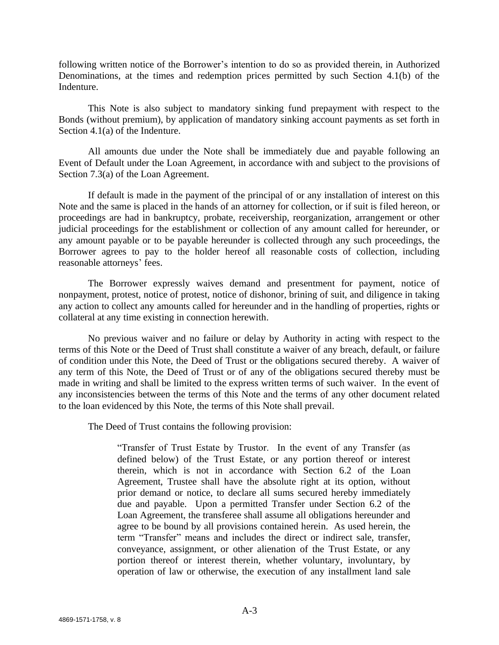following written notice of the Borrower's intention to do so as provided therein, in Authorized Denominations, at the times and redemption prices permitted by such Section 4.1(b) of the Indenture.

This Note is also subject to mandatory sinking fund prepayment with respect to the Bonds (without premium), by application of mandatory sinking account payments as set forth in Section 4.1(a) of the Indenture.

All amounts due under the Note shall be immediately due and payable following an Event of Default under the Loan Agreement, in accordance with and subject to the provisions of Section 7.3(a) of the Loan Agreement.

If default is made in the payment of the principal of or any installation of interest on this Note and the same is placed in the hands of an attorney for collection, or if suit is filed hereon, or proceedings are had in bankruptcy, probate, receivership, reorganization, arrangement or other judicial proceedings for the establishment or collection of any amount called for hereunder, or any amount payable or to be payable hereunder is collected through any such proceedings, the Borrower agrees to pay to the holder hereof all reasonable costs of collection, including reasonable attorneys' fees.

The Borrower expressly waives demand and presentment for payment, notice of nonpayment, protest, notice of protest, notice of dishonor, brining of suit, and diligence in taking any action to collect any amounts called for hereunder and in the handling of properties, rights or collateral at any time existing in connection herewith.

No previous waiver and no failure or delay by Authority in acting with respect to the terms of this Note or the Deed of Trust shall constitute a waiver of any breach, default, or failure of condition under this Note, the Deed of Trust or the obligations secured thereby. A waiver of any term of this Note, the Deed of Trust or of any of the obligations secured thereby must be made in writing and shall be limited to the express written terms of such waiver. In the event of any inconsistencies between the terms of this Note and the terms of any other document related to the loan evidenced by this Note, the terms of this Note shall prevail.

The Deed of Trust contains the following provision:

"Transfer of Trust Estate by Trustor. In the event of any Transfer (as defined below) of the Trust Estate, or any portion thereof or interest therein, which is not in accordance with Section 6.2 of the Loan Agreement, Trustee shall have the absolute right at its option, without prior demand or notice, to declare all sums secured hereby immediately due and payable. Upon a permitted Transfer under Section 6.2 of the Loan Agreement, the transferee shall assume all obligations hereunder and agree to be bound by all provisions contained herein. As used herein, the term "Transfer" means and includes the direct or indirect sale, transfer, conveyance, assignment, or other alienation of the Trust Estate, or any portion thereof or interest therein, whether voluntary, involuntary, by operation of law or otherwise, the execution of any installment land sale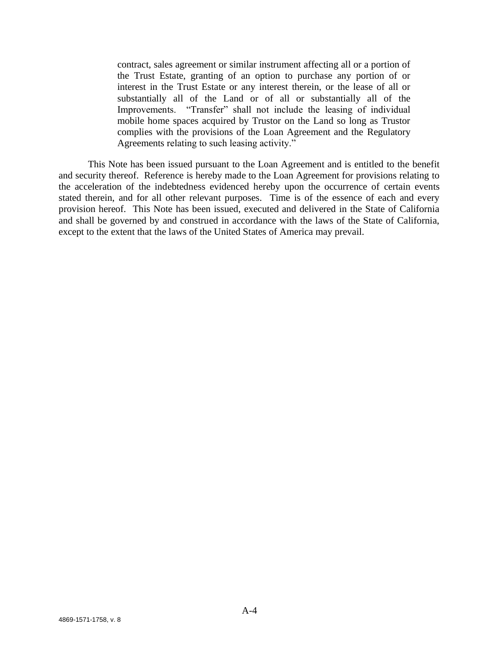contract, sales agreement or similar instrument affecting all or a portion of the Trust Estate, granting of an option to purchase any portion of or interest in the Trust Estate or any interest therein, or the lease of all or substantially all of the Land or of all or substantially all of the Improvements. "Transfer" shall not include the leasing of individual mobile home spaces acquired by Trustor on the Land so long as Trustor complies with the provisions of the Loan Agreement and the Regulatory Agreements relating to such leasing activity."

This Note has been issued pursuant to the Loan Agreement and is entitled to the benefit and security thereof. Reference is hereby made to the Loan Agreement for provisions relating to the acceleration of the indebtedness evidenced hereby upon the occurrence of certain events stated therein, and for all other relevant purposes. Time is of the essence of each and every provision hereof. This Note has been issued, executed and delivered in the State of California and shall be governed by and construed in accordance with the laws of the State of California, except to the extent that the laws of the United States of America may prevail.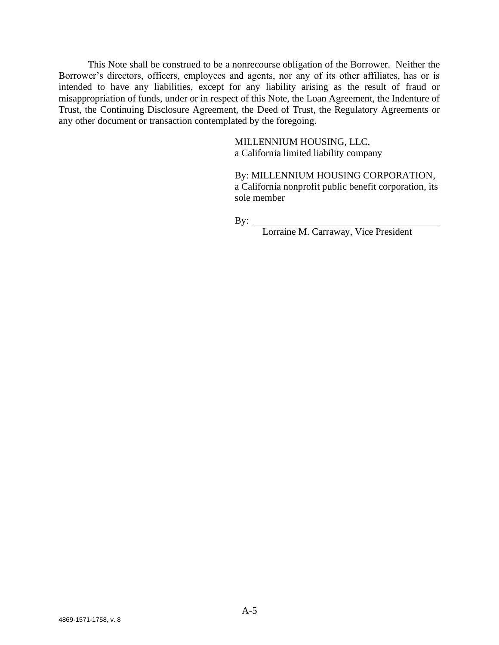This Note shall be construed to be a nonrecourse obligation of the Borrower. Neither the Borrower's directors, officers, employees and agents, nor any of its other affiliates, has or is intended to have any liabilities, except for any liability arising as the result of fraud or misappropriation of funds, under or in respect of this Note, the Loan Agreement, the Indenture of Trust, the Continuing Disclosure Agreement, the Deed of Trust, the Regulatory Agreements or any other document or transaction contemplated by the foregoing.

> MILLENNIUM HOUSING, LLC, a California limited liability company

By: MILLENNIUM HOUSING CORPORATION, a California nonprofit public benefit corporation, its sole member

 $By:$ 

Lorraine M. Carraway, Vice President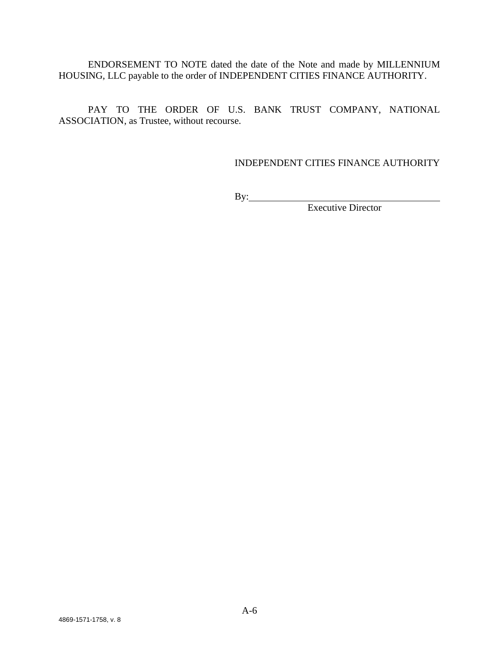ENDORSEMENT TO NOTE dated the date of the Note and made by MILLENNIUM HOUSING, LLC payable to the order of INDEPENDENT CITIES FINANCE AUTHORITY.

PAY TO THE ORDER OF U.S. BANK TRUST COMPANY, NATIONAL ASSOCIATION, as Trustee, without recourse.

INDEPENDENT CITIES FINANCE AUTHORITY

By:

Executive Director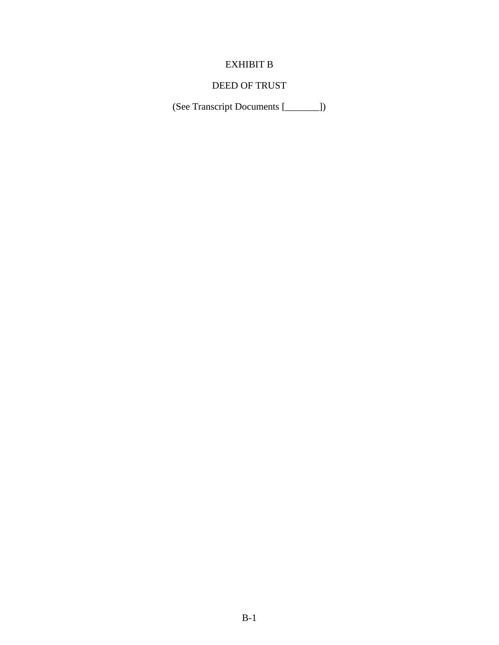# EXHIBIT B

# DEED OF TRUST

(See Transcript Documents [\_\_\_\_\_\_\_])